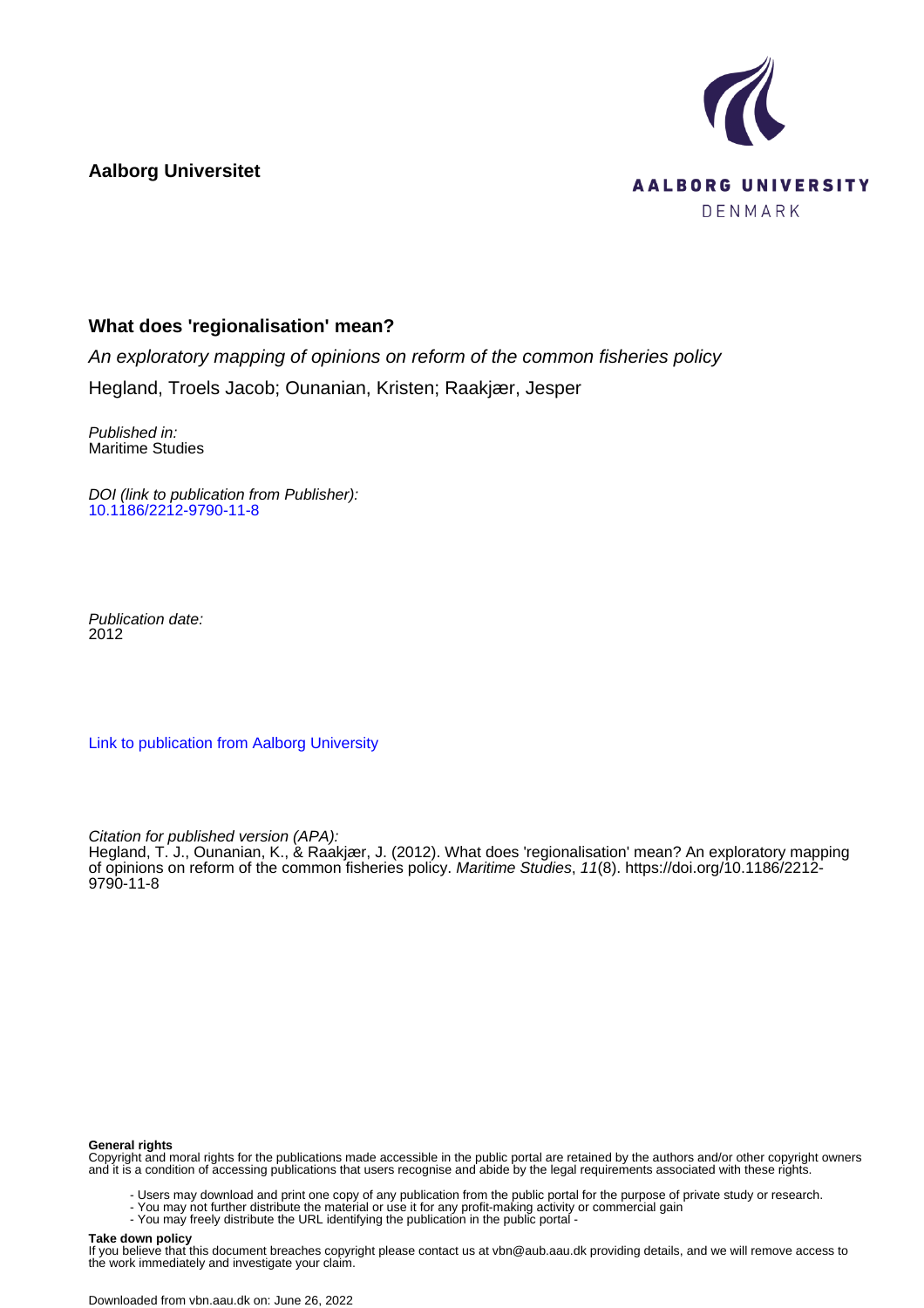



## **What does 'regionalisation' mean?**

An exploratory mapping of opinions on reform of the common fisheries policy Hegland, Troels Jacob; Ounanian, Kristen; Raakjær, Jesper

Published in: Maritime Studies

DOI (link to publication from Publisher): [10.1186/2212-9790-11-8](https://doi.org/10.1186/2212-9790-11-8)

Publication date: 2012

[Link to publication from Aalborg University](https://vbn.aau.dk/en/publications/578f2ffb-3c4b-4ded-a886-cd924d3ac8af)

Citation for published version (APA):

Hegland, T. J., Ounanian, K., & Raakjær, J. (2012). What does 'regionalisation' mean? An exploratory mapping of opinions on reform of the common fisheries policy. Maritime Studies, 11(8). [https://doi.org/10.1186/2212-](https://doi.org/10.1186/2212-9790-11-8) [9790-11-8](https://doi.org/10.1186/2212-9790-11-8)

#### **General rights**

Copyright and moral rights for the publications made accessible in the public portal are retained by the authors and/or other copyright owners and it is a condition of accessing publications that users recognise and abide by the legal requirements associated with these rights.

- Users may download and print one copy of any publication from the public portal for the purpose of private study or research.
- You may not further distribute the material or use it for any profit-making activity or commercial gain
	- You may freely distribute the URL identifying the publication in the public portal -

#### **Take down policy**

If you believe that this document breaches copyright please contact us at vbn@aub.aau.dk providing details, and we will remove access to the work immediately and investigate your claim.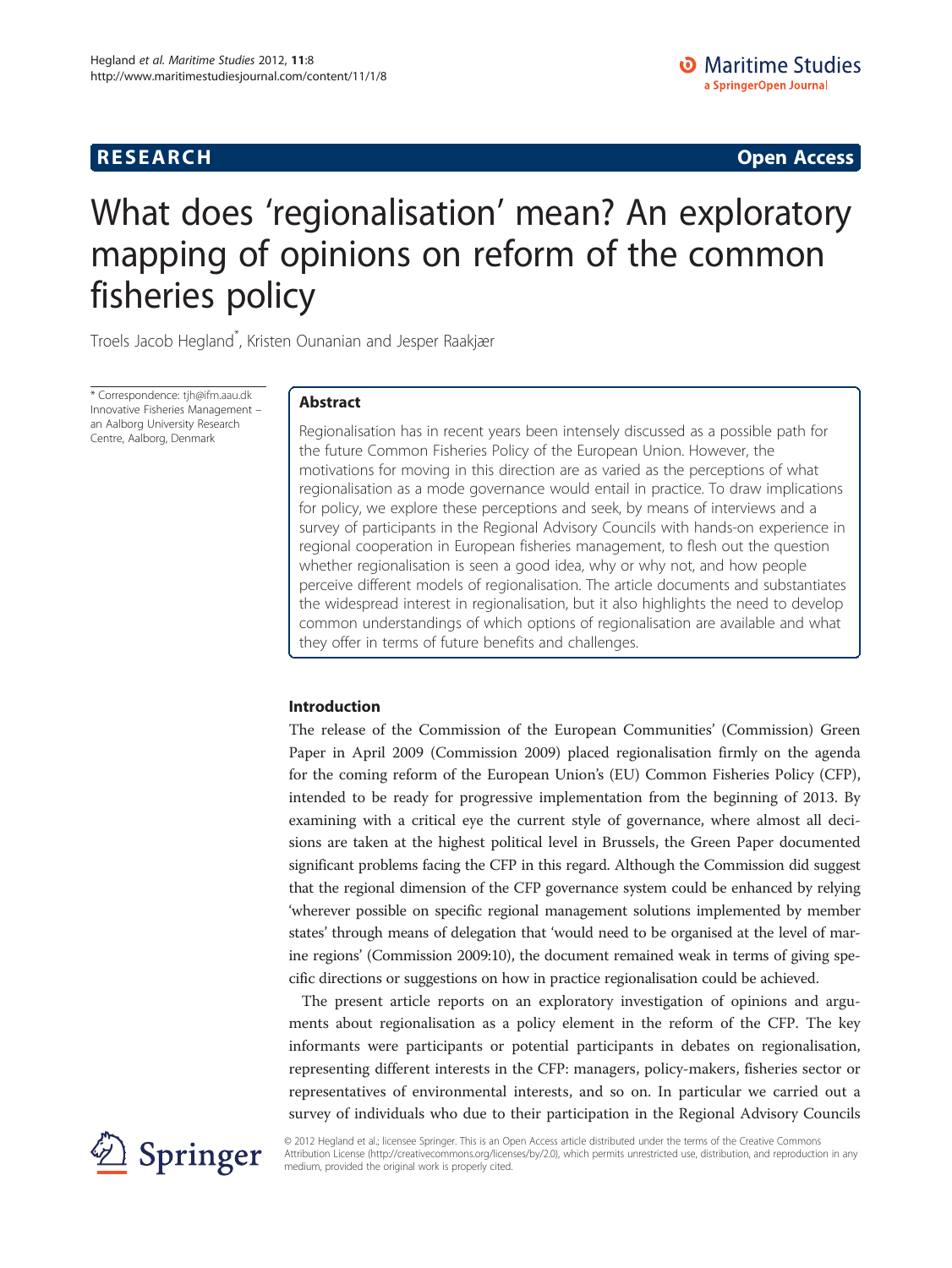# **RESEARCH CHINESE ARCH CHINESE ARCH CHINESE ARCH <b>CHINESE ARCH**

# What does 'regionalisation' mean? An exploratory mapping of opinions on reform of the common fisheries policy

Troels Jacob Hegland\* , Kristen Ounanian and Jesper Raakjær

\* Correspondence: [tjh@ifm.aau.dk](mailto:tjh@ifm.aau.dk) Innovative Fisheries Management – an Aalborg University Research Centre, Aalborg, Denmark

## Abstract

Regionalisation has in recent years been intensely discussed as a possible path for the future Common Fisheries Policy of the European Union. However, the motivations for moving in this direction are as varied as the perceptions of what regionalisation as a mode governance would entail in practice. To draw implications for policy, we explore these perceptions and seek, by means of interviews and a survey of participants in the Regional Advisory Councils with hands-on experience in regional cooperation in European fisheries management, to flesh out the question whether regionalisation is seen a good idea, why or why not, and how people perceive different models of regionalisation. The article documents and substantiates the widespread interest in regionalisation, but it also highlights the need to develop common understandings of which options of regionalisation are available and what they offer in terms of future benefits and challenges.

#### Introduction

The release of the Commission of the European Communities' (Commission) Green Paper in April 2009 (Commission [2009\)](#page-19-0) placed regionalisation firmly on the agenda for the coming reform of the European Union's (EU) Common Fisheries Policy (CFP), intended to be ready for progressive implementation from the beginning of 2013. By examining with a critical eye the current style of governance, where almost all decisions are taken at the highest political level in Brussels, the Green Paper documented significant problems facing the CFP in this regard. Although the Commission did suggest that the regional dimension of the CFP governance system could be enhanced by relying 'wherever possible on specific regional management solutions implemented by member states' through means of delegation that 'would need to be organised at the level of marine regions' (Commission [2009](#page-19-0):10), the document remained weak in terms of giving specific directions or suggestions on how in practice regionalisation could be achieved.

The present article reports on an exploratory investigation of opinions and arguments about regionalisation as a policy element in the reform of the CFP. The key informants were participants or potential participants in debates on regionalisation, representing different interests in the CFP: managers, policy-makers, fisheries sector or representatives of environmental interests, and so on. In particular we carried out a survey of individuals who due to their participation in the Regional Advisory Councils



© 2012 Hegland et al.; licensee Springer. This is an Open Access article distributed under the terms of the Creative Commons Attribution License [\(http://creativecommons.org/licenses/by/2.0\)](http://creativecommons.org/licenses/by/2.0), which permits unrestricted use, distribution, and reproduction in any medium, provided the original work is properly cited.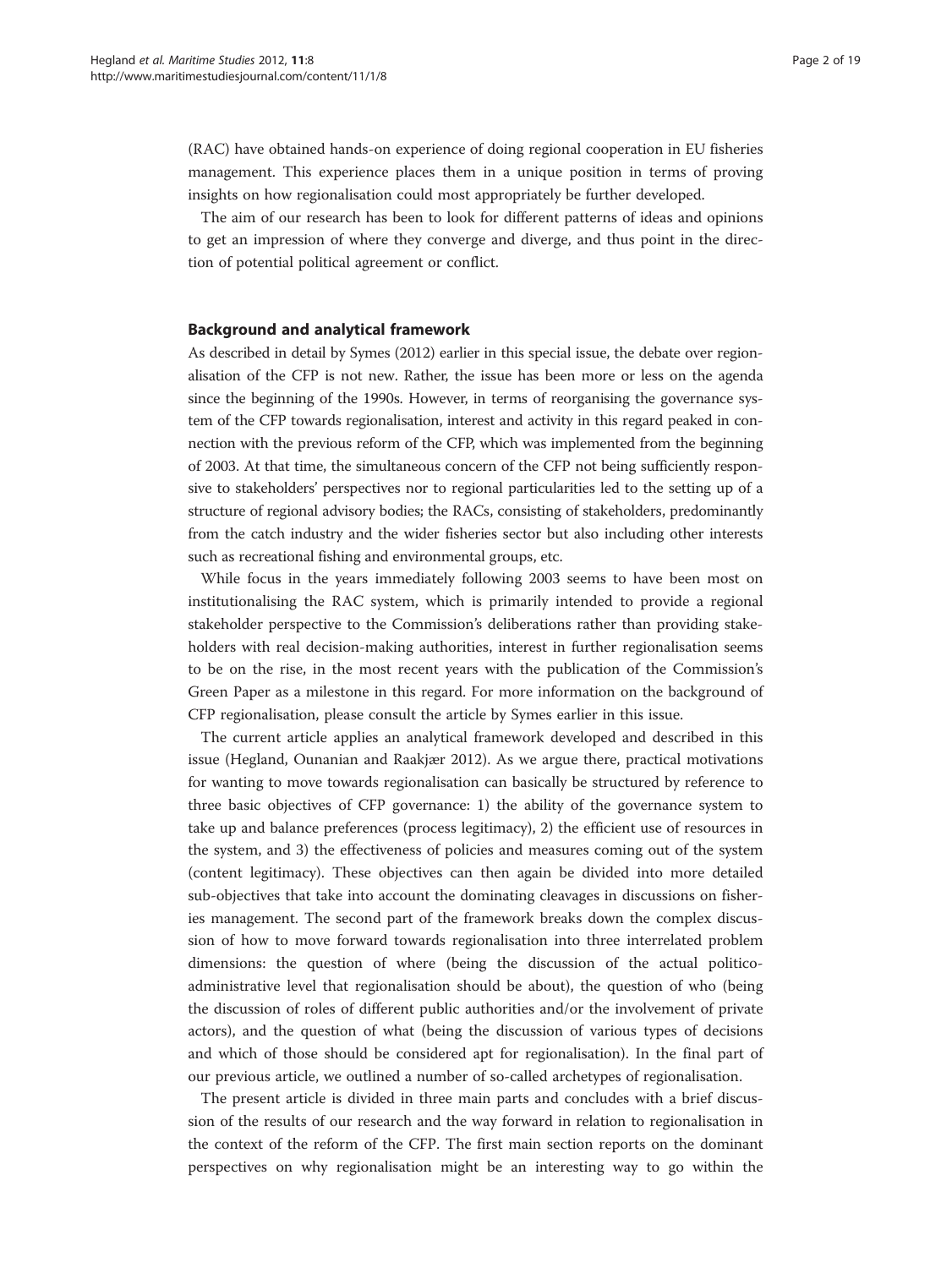(RAC) have obtained hands-on experience of doing regional cooperation in EU fisheries management. This experience places them in a unique position in terms of proving insights on how regionalisation could most appropriately be further developed.

The aim of our research has been to look for different patterns of ideas and opinions to get an impression of where they converge and diverge, and thus point in the direction of potential political agreement or conflict.

#### Background and analytical framework

As described in detail by Symes [\(2012](#page-19-0)) earlier in this special issue, the debate over regionalisation of the CFP is not new. Rather, the issue has been more or less on the agenda since the beginning of the 1990s. However, in terms of reorganising the governance system of the CFP towards regionalisation, interest and activity in this regard peaked in connection with the previous reform of the CFP, which was implemented from the beginning of 2003. At that time, the simultaneous concern of the CFP not being sufficiently responsive to stakeholders' perspectives nor to regional particularities led to the setting up of a structure of regional advisory bodies; the RACs, consisting of stakeholders, predominantly from the catch industry and the wider fisheries sector but also including other interests such as recreational fishing and environmental groups, etc.

While focus in the years immediately following 2003 seems to have been most on institutionalising the RAC system, which is primarily intended to provide a regional stakeholder perspective to the Commission's deliberations rather than providing stakeholders with real decision-making authorities, interest in further regionalisation seems to be on the rise, in the most recent years with the publication of the Commission's Green Paper as a milestone in this regard. For more information on the background of CFP regionalisation, please consult the article by Symes earlier in this issue.

The current article applies an analytical framework developed and described in this issue (Hegland, Ounanian and Raakjær [2012\)](#page-19-0). As we argue there, practical motivations for wanting to move towards regionalisation can basically be structured by reference to three basic objectives of CFP governance: 1) the ability of the governance system to take up and balance preferences (process legitimacy), 2) the efficient use of resources in the system, and 3) the effectiveness of policies and measures coming out of the system (content legitimacy). These objectives can then again be divided into more detailed sub-objectives that take into account the dominating cleavages in discussions on fisheries management. The second part of the framework breaks down the complex discussion of how to move forward towards regionalisation into three interrelated problem dimensions: the question of where (being the discussion of the actual politicoadministrative level that regionalisation should be about), the question of who (being the discussion of roles of different public authorities and/or the involvement of private actors), and the question of what (being the discussion of various types of decisions and which of those should be considered apt for regionalisation). In the final part of our previous article, we outlined a number of so-called archetypes of regionalisation.

The present article is divided in three main parts and concludes with a brief discussion of the results of our research and the way forward in relation to regionalisation in the context of the reform of the CFP. The first main section reports on the dominant perspectives on why regionalisation might be an interesting way to go within the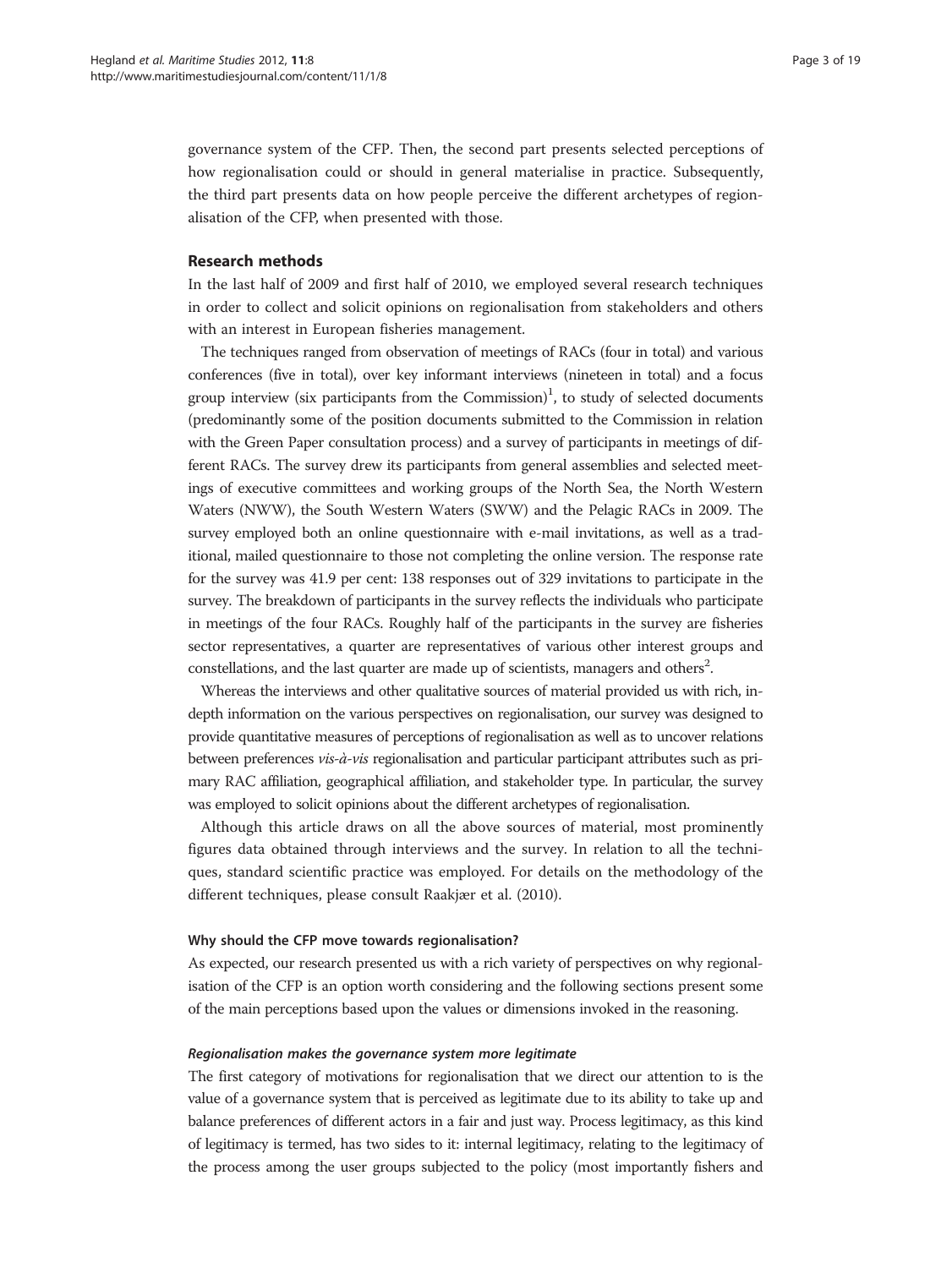governance system of the CFP. Then, the second part presents selected perceptions of how regionalisation could or should in general materialise in practice. Subsequently, the third part presents data on how people perceive the different archetypes of regionalisation of the CFP, when presented with those.

#### Research methods

In the last half of 2009 and first half of 2010, we employed several research techniques in order to collect and solicit opinions on regionalisation from stakeholders and others with an interest in European fisheries management.

The techniques ranged from observation of meetings of RACs (four in total) and various conferences (five in total), over key informant interviews (nineteen in total) and a focus group interview (six participants from the Commission)<sup>1</sup>, to study of selected documents (predominantly some of the position documents submitted to the Commission in relation with the Green Paper consultation process) and a survey of participants in meetings of different RACs. The survey drew its participants from general assemblies and selected meetings of executive committees and working groups of the North Sea, the North Western Waters (NWW), the South Western Waters (SWW) and the Pelagic RACs in 2009. The survey employed both an online questionnaire with e-mail invitations, as well as a traditional, mailed questionnaire to those not completing the online version. The response rate for the survey was 41.9 per cent: 138 responses out of 329 invitations to participate in the survey. The breakdown of participants in the survey reflects the individuals who participate in meetings of the four RACs. Roughly half of the participants in the survey are fisheries sector representatives, a quarter are representatives of various other interest groups and constellations, and the last quarter are made up of scientists, managers and others<sup>2</sup>.

Whereas the interviews and other qualitative sources of material provided us with rich, indepth information on the various perspectives on regionalisation, our survey was designed to provide quantitative measures of perceptions of regionalisation as well as to uncover relations between preferences vis-à-vis regionalisation and particular participant attributes such as primary RAC affiliation, geographical affiliation, and stakeholder type. In particular, the survey was employed to solicit opinions about the different archetypes of regionalisation.

Although this article draws on all the above sources of material, most prominently figures data obtained through interviews and the survey. In relation to all the techniques, standard scientific practice was employed. For details on the methodology of the different techniques, please consult Raakjær et al. ([2010](#page-19-0)).

#### Why should the CFP move towards regionalisation?

As expected, our research presented us with a rich variety of perspectives on why regionalisation of the CFP is an option worth considering and the following sections present some of the main perceptions based upon the values or dimensions invoked in the reasoning.

#### Regionalisation makes the governance system more legitimate

The first category of motivations for regionalisation that we direct our attention to is the value of a governance system that is perceived as legitimate due to its ability to take up and balance preferences of different actors in a fair and just way. Process legitimacy, as this kind of legitimacy is termed, has two sides to it: internal legitimacy, relating to the legitimacy of the process among the user groups subjected to the policy (most importantly fishers and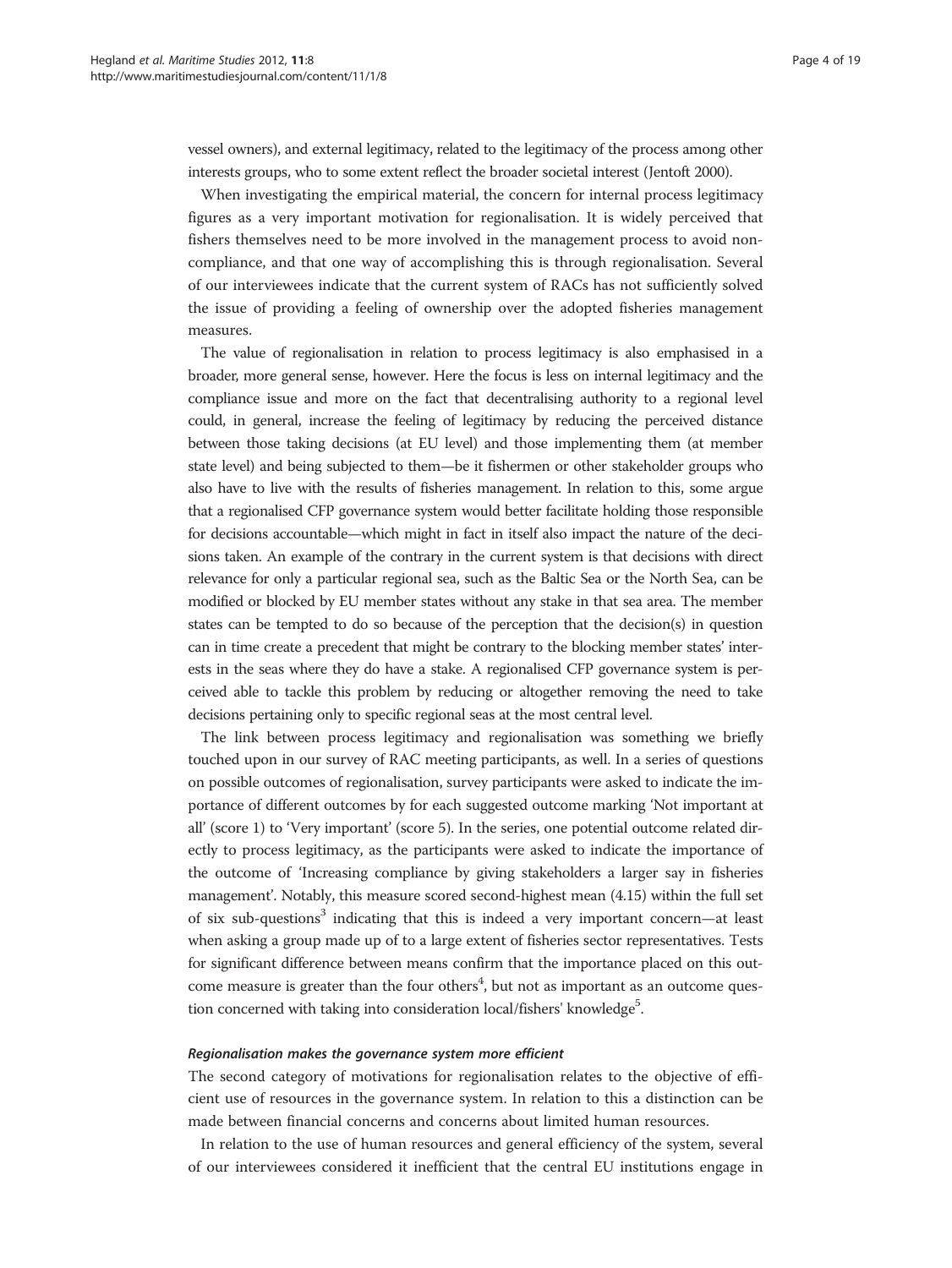vessel owners), and external legitimacy, related to the legitimacy of the process among other interests groups, who to some extent reflect the broader societal interest (Jentoft [2000](#page-19-0)).

When investigating the empirical material, the concern for internal process legitimacy figures as a very important motivation for regionalisation. It is widely perceived that fishers themselves need to be more involved in the management process to avoid noncompliance, and that one way of accomplishing this is through regionalisation. Several of our interviewees indicate that the current system of RACs has not sufficiently solved the issue of providing a feeling of ownership over the adopted fisheries management measures.

The value of regionalisation in relation to process legitimacy is also emphasised in a broader, more general sense, however. Here the focus is less on internal legitimacy and the compliance issue and more on the fact that decentralising authority to a regional level could, in general, increase the feeling of legitimacy by reducing the perceived distance between those taking decisions (at EU level) and those implementing them (at member state level) and being subjected to them—be it fishermen or other stakeholder groups who also have to live with the results of fisheries management. In relation to this, some argue that a regionalised CFP governance system would better facilitate holding those responsible for decisions accountable—which might in fact in itself also impact the nature of the decisions taken. An example of the contrary in the current system is that decisions with direct relevance for only a particular regional sea, such as the Baltic Sea or the North Sea, can be modified or blocked by EU member states without any stake in that sea area. The member states can be tempted to do so because of the perception that the decision(s) in question can in time create a precedent that might be contrary to the blocking member states' interests in the seas where they do have a stake. A regionalised CFP governance system is perceived able to tackle this problem by reducing or altogether removing the need to take decisions pertaining only to specific regional seas at the most central level.

The link between process legitimacy and regionalisation was something we briefly touched upon in our survey of RAC meeting participants, as well. In a series of questions on possible outcomes of regionalisation, survey participants were asked to indicate the importance of different outcomes by for each suggested outcome marking 'Not important at all' (score 1) to 'Very important' (score 5). In the series, one potential outcome related directly to process legitimacy, as the participants were asked to indicate the importance of the outcome of 'Increasing compliance by giving stakeholders a larger say in fisheries management'. Notably, this measure scored second-highest mean (4.15) within the full set of six sub-questions<sup>3</sup> indicating that this is indeed a very important concern—at least when asking a group made up of to a large extent of fisheries sector representatives. Tests for significant difference between means confirm that the importance placed on this outcome measure is greater than the four others<sup>4</sup>, but not as important as an outcome question concerned with taking into consideration local/fishers' knowledge<sup>5</sup>.

#### Regionalisation makes the governance system more efficient

The second category of motivations for regionalisation relates to the objective of efficient use of resources in the governance system. In relation to this a distinction can be made between financial concerns and concerns about limited human resources.

In relation to the use of human resources and general efficiency of the system, several of our interviewees considered it inefficient that the central EU institutions engage in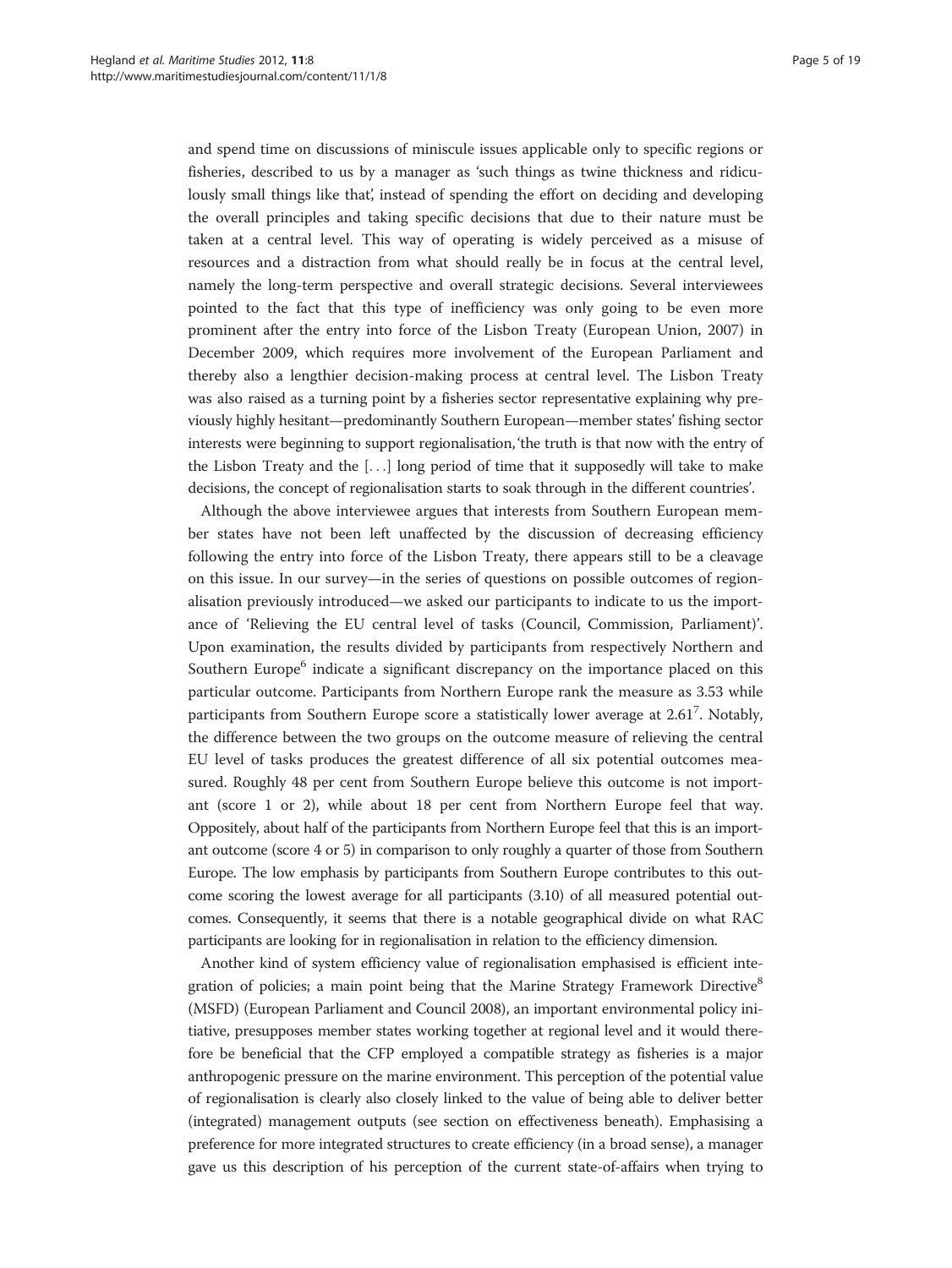and spend time on discussions of miniscule issues applicable only to specific regions or fisheries, described to us by a manager as 'such things as twine thickness and ridiculously small things like that', instead of spending the effort on deciding and developing the overall principles and taking specific decisions that due to their nature must be taken at a central level. This way of operating is widely perceived as a misuse of resources and a distraction from what should really be in focus at the central level, namely the long-term perspective and overall strategic decisions. Several interviewees pointed to the fact that this type of inefficiency was only going to be even more prominent after the entry into force of the Lisbon Treaty (European Union, [2007\)](#page-19-0) in December 2009, which requires more involvement of the European Parliament and thereby also a lengthier decision-making process at central level. The Lisbon Treaty was also raised as a turning point by a fisheries sector representative explaining why previously highly hesitant—predominantly Southern European—member states' fishing sector interests were beginning to support regionalisation, 'the truth is that now with the entry of the Lisbon Treaty and the [...] long period of time that it supposedly will take to make decisions, the concept of regionalisation starts to soak through in the different countries'.

Although the above interviewee argues that interests from Southern European member states have not been left unaffected by the discussion of decreasing efficiency following the entry into force of the Lisbon Treaty, there appears still to be a cleavage on this issue. In our survey—in the series of questions on possible outcomes of regionalisation previously introduced—we asked our participants to indicate to us the importance of 'Relieving the EU central level of tasks (Council, Commission, Parliament)'. Upon examination, the results divided by participants from respectively Northern and Southern Europe<sup>6</sup> indicate a significant discrepancy on the importance placed on this particular outcome. Participants from Northern Europe rank the measure as 3.53 while participants from Southern Europe score a statistically lower average at 2.61<sup>7</sup>. Notably, the difference between the two groups on the outcome measure of relieving the central EU level of tasks produces the greatest difference of all six potential outcomes measured. Roughly 48 per cent from Southern Europe believe this outcome is not important (score 1 or 2), while about 18 per cent from Northern Europe feel that way. Oppositely, about half of the participants from Northern Europe feel that this is an important outcome (score 4 or 5) in comparison to only roughly a quarter of those from Southern Europe. The low emphasis by participants from Southern Europe contributes to this outcome scoring the lowest average for all participants (3.10) of all measured potential outcomes. Consequently, it seems that there is a notable geographical divide on what RAC participants are looking for in regionalisation in relation to the efficiency dimension.

Another kind of system efficiency value of regionalisation emphasised is efficient integration of policies; a main point being that the Marine Strategy Framework Directive<sup>8</sup> (MSFD) (European Parliament and Council [2008\)](#page-19-0), an important environmental policy initiative, presupposes member states working together at regional level and it would therefore be beneficial that the CFP employed a compatible strategy as fisheries is a major anthropogenic pressure on the marine environment. This perception of the potential value of regionalisation is clearly also closely linked to the value of being able to deliver better (integrated) management outputs (see section on effectiveness beneath). Emphasising a preference for more integrated structures to create efficiency (in a broad sense), a manager gave us this description of his perception of the current state-of-affairs when trying to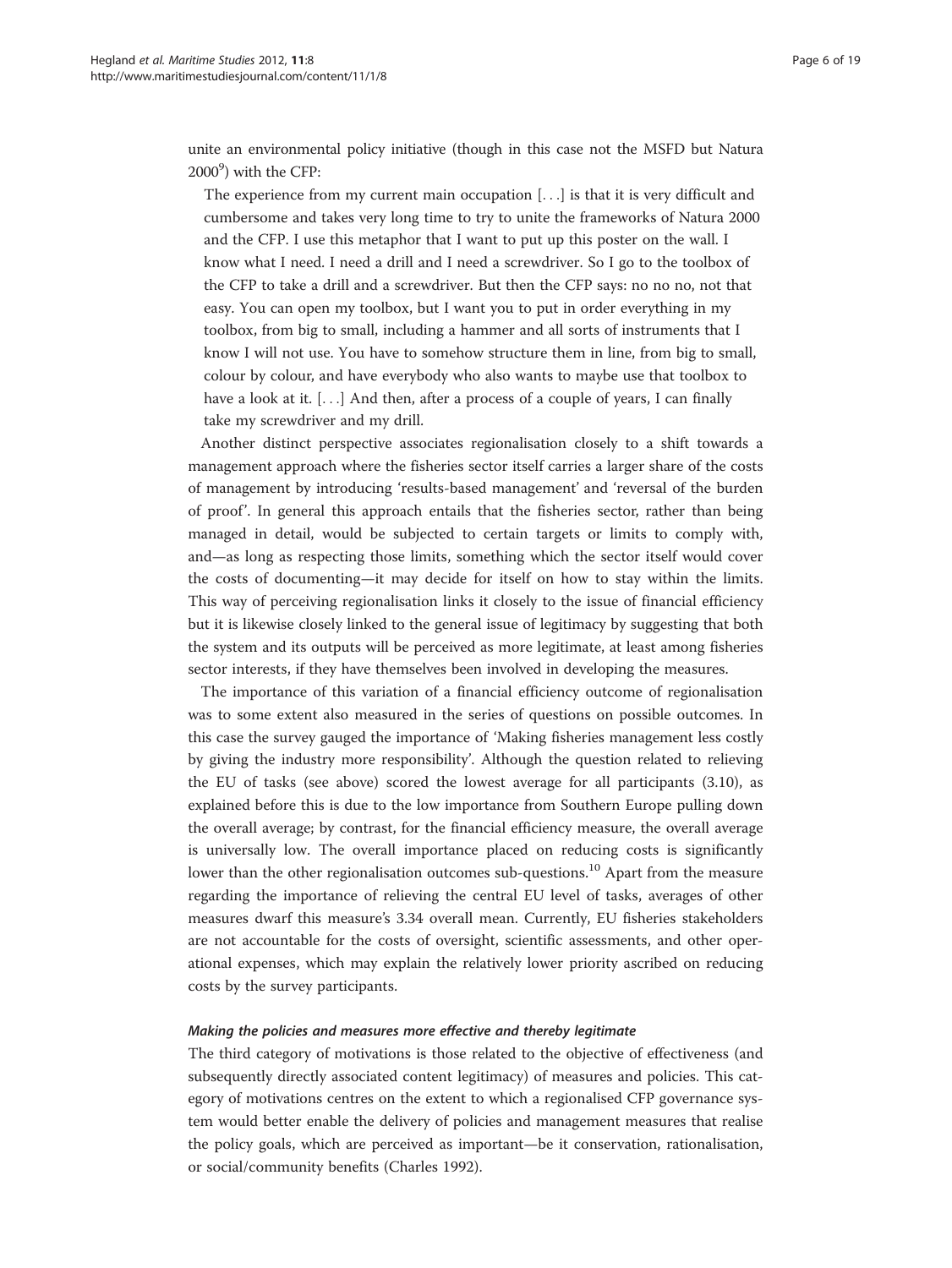unite an environmental policy initiative (though in this case not the MSFD but Natura 2000<sup>9</sup>) with the CFP:

The experience from my current main occupation [...] is that it is very difficult and cumbersome and takes very long time to try to unite the frameworks of Natura 2000 and the CFP. I use this metaphor that I want to put up this poster on the wall. I know what I need. I need a drill and I need a screwdriver. So I go to the toolbox of the CFP to take a drill and a screwdriver. But then the CFP says: no no no, not that easy. You can open my toolbox, but I want you to put in order everything in my toolbox, from big to small, including a hammer and all sorts of instruments that I know I will not use. You have to somehow structure them in line, from big to small, colour by colour, and have everybody who also wants to maybe use that toolbox to have a look at it. [...] And then, after a process of a couple of years, I can finally take my screwdriver and my drill.

Another distinct perspective associates regionalisation closely to a shift towards a management approach where the fisheries sector itself carries a larger share of the costs of management by introducing 'results-based management' and 'reversal of the burden of proof'. In general this approach entails that the fisheries sector, rather than being managed in detail, would be subjected to certain targets or limits to comply with, and—as long as respecting those limits, something which the sector itself would cover the costs of documenting—it may decide for itself on how to stay within the limits. This way of perceiving regionalisation links it closely to the issue of financial efficiency but it is likewise closely linked to the general issue of legitimacy by suggesting that both the system and its outputs will be perceived as more legitimate, at least among fisheries sector interests, if they have themselves been involved in developing the measures.

The importance of this variation of a financial efficiency outcome of regionalisation was to some extent also measured in the series of questions on possible outcomes. In this case the survey gauged the importance of 'Making fisheries management less costly by giving the industry more responsibility'. Although the question related to relieving the EU of tasks (see above) scored the lowest average for all participants (3.10), as explained before this is due to the low importance from Southern Europe pulling down the overall average; by contrast, for the financial efficiency measure, the overall average is universally low. The overall importance placed on reducing costs is significantly lower than the other regionalisation outcomes sub-questions.<sup>10</sup> Apart from the measure regarding the importance of relieving the central EU level of tasks, averages of other measures dwarf this measure's 3.34 overall mean. Currently, EU fisheries stakeholders are not accountable for the costs of oversight, scientific assessments, and other operational expenses, which may explain the relatively lower priority ascribed on reducing costs by the survey participants.

#### Making the policies and measures more effective and thereby legitimate

The third category of motivations is those related to the objective of effectiveness (and subsequently directly associated content legitimacy) of measures and policies. This category of motivations centres on the extent to which a regionalised CFP governance system would better enable the delivery of policies and management measures that realise the policy goals, which are perceived as important—be it conservation, rationalisation, or social/community benefits (Charles [1992\)](#page-19-0).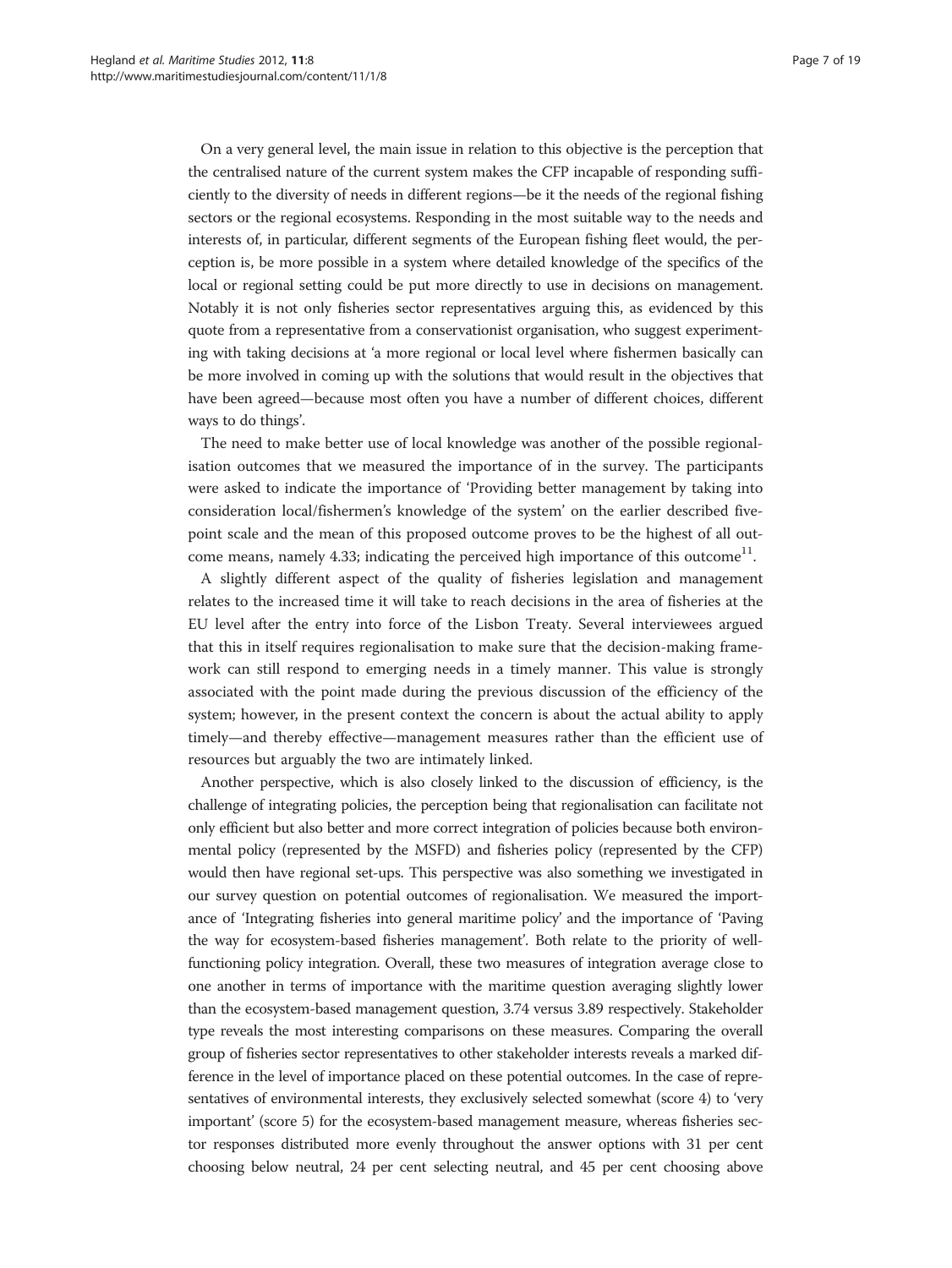On a very general level, the main issue in relation to this objective is the perception that the centralised nature of the current system makes the CFP incapable of responding sufficiently to the diversity of needs in different regions—be it the needs of the regional fishing sectors or the regional ecosystems. Responding in the most suitable way to the needs and interests of, in particular, different segments of the European fishing fleet would, the perception is, be more possible in a system where detailed knowledge of the specifics of the local or regional setting could be put more directly to use in decisions on management. Notably it is not only fisheries sector representatives arguing this, as evidenced by this quote from a representative from a conservationist organisation, who suggest experimenting with taking decisions at 'a more regional or local level where fishermen basically can be more involved in coming up with the solutions that would result in the objectives that have been agreed—because most often you have a number of different choices, different ways to do things'.

The need to make better use of local knowledge was another of the possible regionalisation outcomes that we measured the importance of in the survey. The participants were asked to indicate the importance of 'Providing better management by taking into consideration local/fishermen's knowledge of the system' on the earlier described fivepoint scale and the mean of this proposed outcome proves to be the highest of all outcome means, namely 4.33; indicating the perceived high importance of this outcome<sup>11</sup>.

A slightly different aspect of the quality of fisheries legislation and management relates to the increased time it will take to reach decisions in the area of fisheries at the EU level after the entry into force of the Lisbon Treaty. Several interviewees argued that this in itself requires regionalisation to make sure that the decision-making framework can still respond to emerging needs in a timely manner. This value is strongly associated with the point made during the previous discussion of the efficiency of the system; however, in the present context the concern is about the actual ability to apply timely—and thereby effective—management measures rather than the efficient use of resources but arguably the two are intimately linked.

Another perspective, which is also closely linked to the discussion of efficiency, is the challenge of integrating policies, the perception being that regionalisation can facilitate not only efficient but also better and more correct integration of policies because both environmental policy (represented by the MSFD) and fisheries policy (represented by the CFP) would then have regional set-ups. This perspective was also something we investigated in our survey question on potential outcomes of regionalisation. We measured the importance of 'Integrating fisheries into general maritime policy' and the importance of 'Paving the way for ecosystem-based fisheries management'. Both relate to the priority of wellfunctioning policy integration. Overall, these two measures of integration average close to one another in terms of importance with the maritime question averaging slightly lower than the ecosystem-based management question, 3.74 versus 3.89 respectively. Stakeholder type reveals the most interesting comparisons on these measures. Comparing the overall group of fisheries sector representatives to other stakeholder interests reveals a marked difference in the level of importance placed on these potential outcomes. In the case of representatives of environmental interests, they exclusively selected somewhat (score 4) to 'very important' (score 5) for the ecosystem-based management measure, whereas fisheries sector responses distributed more evenly throughout the answer options with 31 per cent choosing below neutral, 24 per cent selecting neutral, and 45 per cent choosing above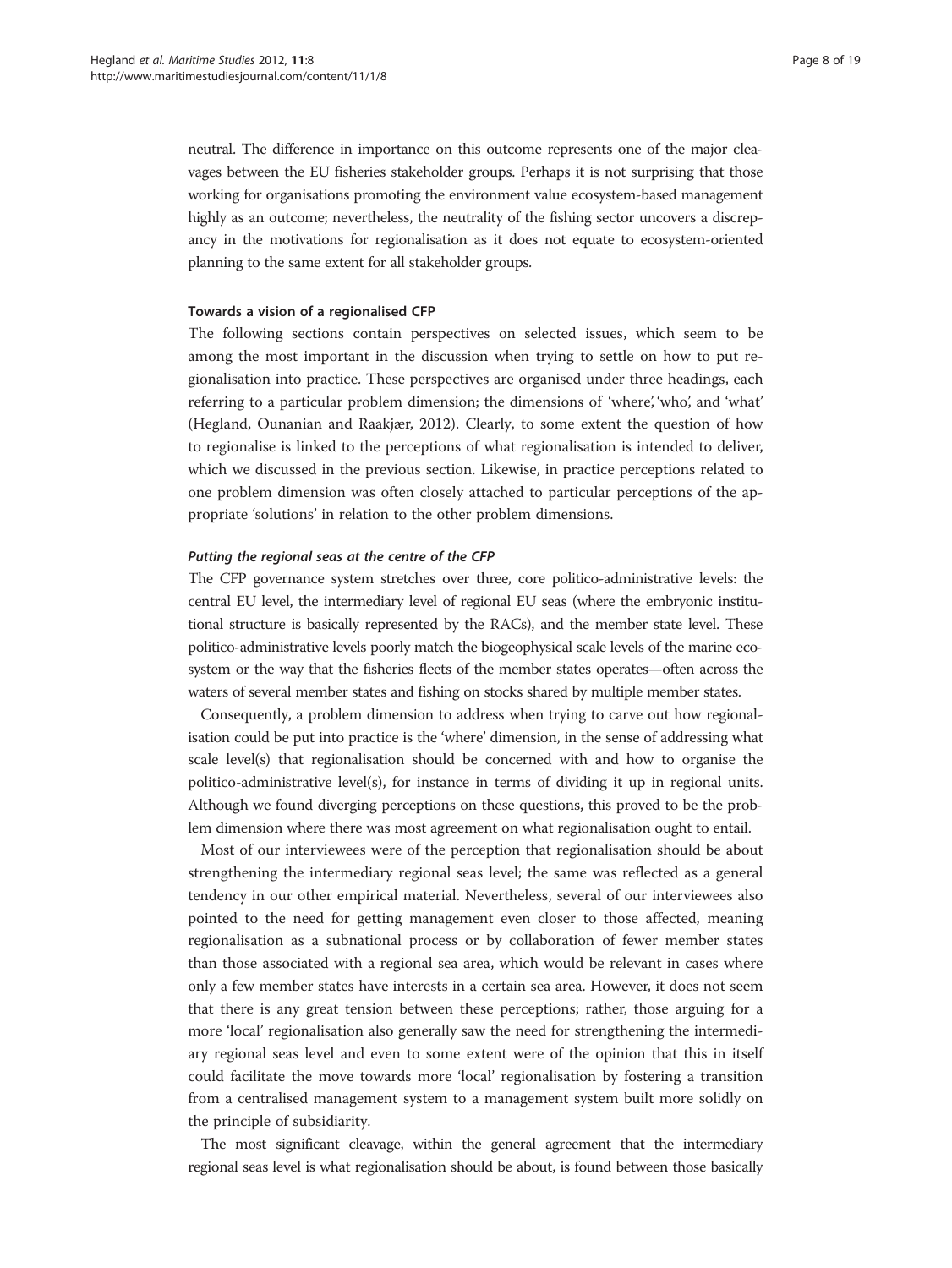neutral. The difference in importance on this outcome represents one of the major cleavages between the EU fisheries stakeholder groups. Perhaps it is not surprising that those working for organisations promoting the environment value ecosystem-based management highly as an outcome; nevertheless, the neutrality of the fishing sector uncovers a discrepancy in the motivations for regionalisation as it does not equate to ecosystem-oriented planning to the same extent for all stakeholder groups.

#### Towards a vision of a regionalised CFP

The following sections contain perspectives on selected issues, which seem to be among the most important in the discussion when trying to settle on how to put regionalisation into practice. These perspectives are organised under three headings, each referring to a particular problem dimension; the dimensions of 'where', 'who', and 'what' (Hegland, Ounanian and Raakjær, [2012](#page-19-0)). Clearly, to some extent the question of how to regionalise is linked to the perceptions of what regionalisation is intended to deliver, which we discussed in the previous section. Likewise, in practice perceptions related to one problem dimension was often closely attached to particular perceptions of the appropriate 'solutions' in relation to the other problem dimensions.

#### Putting the regional seas at the centre of the CFP

The CFP governance system stretches over three, core politico-administrative levels: the central EU level, the intermediary level of regional EU seas (where the embryonic institutional structure is basically represented by the RACs), and the member state level. These politico-administrative levels poorly match the biogeophysical scale levels of the marine ecosystem or the way that the fisheries fleets of the member states operates—often across the waters of several member states and fishing on stocks shared by multiple member states.

Consequently, a problem dimension to address when trying to carve out how regionalisation could be put into practice is the 'where' dimension, in the sense of addressing what scale level(s) that regionalisation should be concerned with and how to organise the politico-administrative level(s), for instance in terms of dividing it up in regional units. Although we found diverging perceptions on these questions, this proved to be the problem dimension where there was most agreement on what regionalisation ought to entail.

Most of our interviewees were of the perception that regionalisation should be about strengthening the intermediary regional seas level; the same was reflected as a general tendency in our other empirical material. Nevertheless, several of our interviewees also pointed to the need for getting management even closer to those affected, meaning regionalisation as a subnational process or by collaboration of fewer member states than those associated with a regional sea area, which would be relevant in cases where only a few member states have interests in a certain sea area. However, it does not seem that there is any great tension between these perceptions; rather, those arguing for a more 'local' regionalisation also generally saw the need for strengthening the intermediary regional seas level and even to some extent were of the opinion that this in itself could facilitate the move towards more 'local' regionalisation by fostering a transition from a centralised management system to a management system built more solidly on the principle of subsidiarity.

The most significant cleavage, within the general agreement that the intermediary regional seas level is what regionalisation should be about, is found between those basically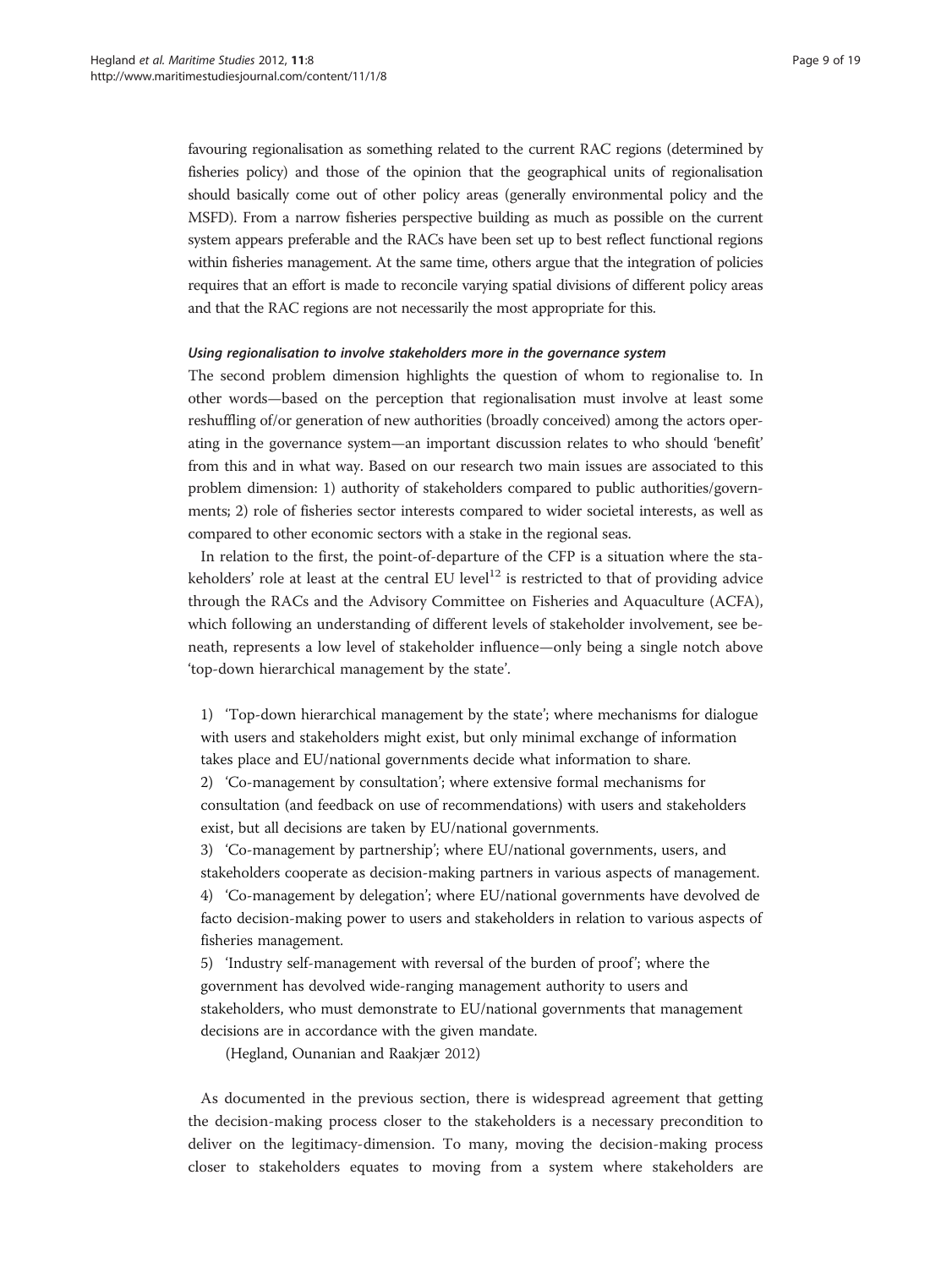favouring regionalisation as something related to the current RAC regions (determined by fisheries policy) and those of the opinion that the geographical units of regionalisation should basically come out of other policy areas (generally environmental policy and the MSFD). From a narrow fisheries perspective building as much as possible on the current system appears preferable and the RACs have been set up to best reflect functional regions within fisheries management. At the same time, others argue that the integration of policies requires that an effort is made to reconcile varying spatial divisions of different policy areas and that the RAC regions are not necessarily the most appropriate for this.

#### Using regionalisation to involve stakeholders more in the governance system

The second problem dimension highlights the question of whom to regionalise to. In other words—based on the perception that regionalisation must involve at least some reshuffling of/or generation of new authorities (broadly conceived) among the actors operating in the governance system—an important discussion relates to who should 'benefit' from this and in what way. Based on our research two main issues are associated to this problem dimension: 1) authority of stakeholders compared to public authorities/governments; 2) role of fisheries sector interests compared to wider societal interests, as well as compared to other economic sectors with a stake in the regional seas.

In relation to the first, the point-of-departure of the CFP is a situation where the stakeholders' role at least at the central EU level<sup>12</sup> is restricted to that of providing advice through the RACs and the Advisory Committee on Fisheries and Aquaculture (ACFA), which following an understanding of different levels of stakeholder involvement, see beneath, represents a low level of stakeholder influence—only being a single notch above 'top-down hierarchical management by the state'.

1) 'Top-down hierarchical management by the state'; where mechanisms for dialogue with users and stakeholders might exist, but only minimal exchange of information takes place and EU/national governments decide what information to share.

2) 'Co-management by consultation'; where extensive formal mechanisms for consultation (and feedback on use of recommendations) with users and stakeholders exist, but all decisions are taken by EU/national governments.

3) 'Co-management by partnership'; where EU/national governments, users, and stakeholders cooperate as decision-making partners in various aspects of management. 4) 'Co-management by delegation'; where EU/national governments have devolved de facto decision-making power to users and stakeholders in relation to various aspects of fisheries management.

5) 'Industry self-management with reversal of the burden of proof'; where the government has devolved wide-ranging management authority to users and stakeholders, who must demonstrate to EU/national governments that management decisions are in accordance with the given mandate.

(Hegland, Ounanian and Raakjær [2012\)](#page-19-0)

As documented in the previous section, there is widespread agreement that getting the decision-making process closer to the stakeholders is a necessary precondition to deliver on the legitimacy-dimension. To many, moving the decision-making process closer to stakeholders equates to moving from a system where stakeholders are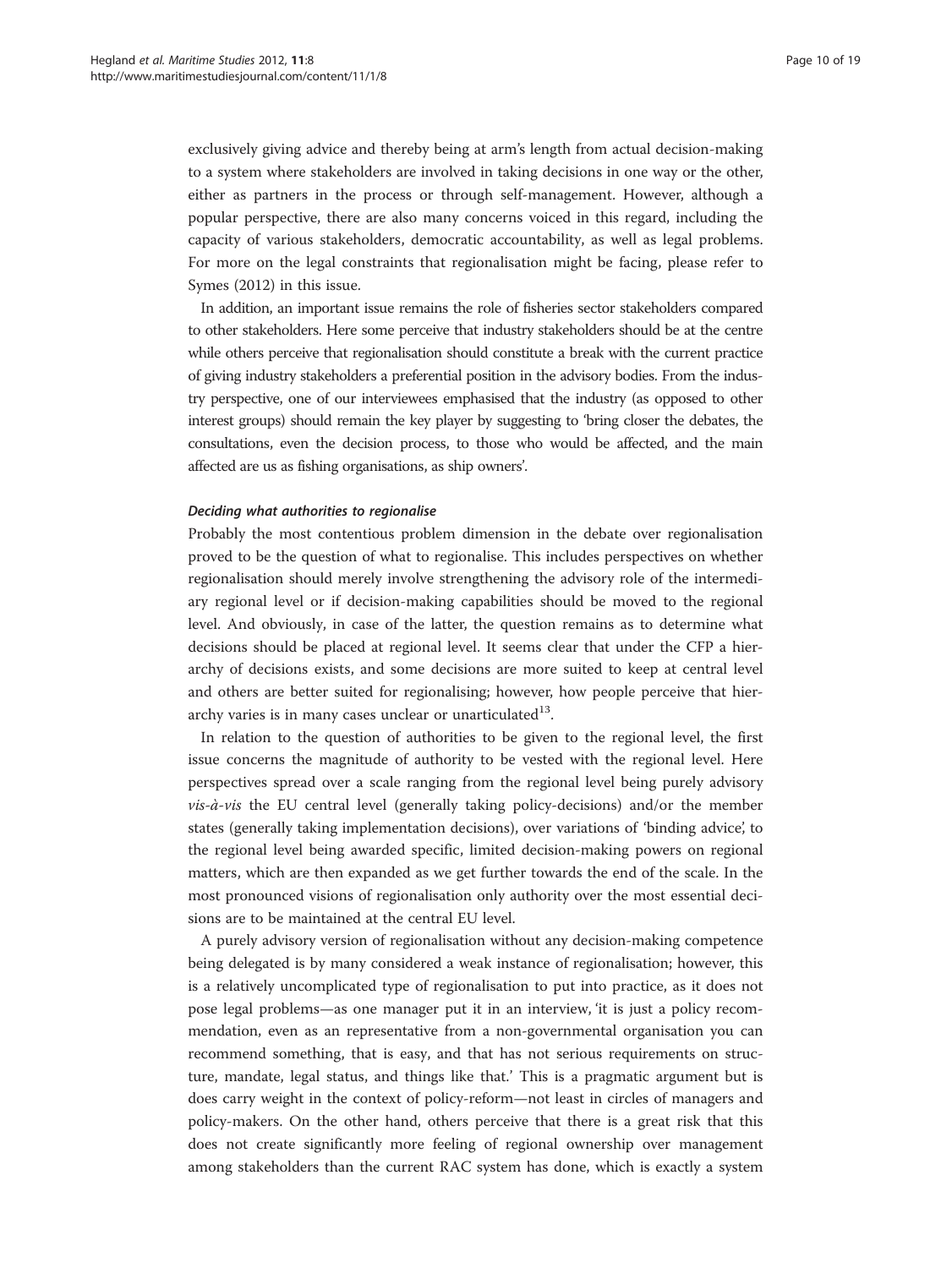exclusively giving advice and thereby being at arm's length from actual decision-making to a system where stakeholders are involved in taking decisions in one way or the other, either as partners in the process or through self-management. However, although a popular perspective, there are also many concerns voiced in this regard, including the capacity of various stakeholders, democratic accountability, as well as legal problems. For more on the legal constraints that regionalisation might be facing, please refer to Symes [\(2012](#page-19-0)) in this issue.

In addition, an important issue remains the role of fisheries sector stakeholders compared to other stakeholders. Here some perceive that industry stakeholders should be at the centre while others perceive that regionalisation should constitute a break with the current practice of giving industry stakeholders a preferential position in the advisory bodies. From the industry perspective, one of our interviewees emphasised that the industry (as opposed to other interest groups) should remain the key player by suggesting to 'bring closer the debates, the consultations, even the decision process, to those who would be affected, and the main affected are us as fishing organisations, as ship owners'.

#### Deciding what authorities to regionalise

Probably the most contentious problem dimension in the debate over regionalisation proved to be the question of what to regionalise. This includes perspectives on whether regionalisation should merely involve strengthening the advisory role of the intermediary regional level or if decision-making capabilities should be moved to the regional level. And obviously, in case of the latter, the question remains as to determine what decisions should be placed at regional level. It seems clear that under the CFP a hierarchy of decisions exists, and some decisions are more suited to keep at central level and others are better suited for regionalising; however, how people perceive that hierarchy varies is in many cases unclear or unarticulated $^{13}$ .

In relation to the question of authorities to be given to the regional level, the first issue concerns the magnitude of authority to be vested with the regional level. Here perspectives spread over a scale ranging from the regional level being purely advisory vis-à-vis the EU central level (generally taking policy-decisions) and/or the member states (generally taking implementation decisions), over variations of 'binding advice', to the regional level being awarded specific, limited decision-making powers on regional matters, which are then expanded as we get further towards the end of the scale. In the most pronounced visions of regionalisation only authority over the most essential decisions are to be maintained at the central EU level.

A purely advisory version of regionalisation without any decision-making competence being delegated is by many considered a weak instance of regionalisation; however, this is a relatively uncomplicated type of regionalisation to put into practice, as it does not pose legal problems—as one manager put it in an interview, 'it is just a policy recommendation, even as an representative from a non-governmental organisation you can recommend something, that is easy, and that has not serious requirements on structure, mandate, legal status, and things like that.' This is a pragmatic argument but is does carry weight in the context of policy-reform—not least in circles of managers and policy-makers. On the other hand, others perceive that there is a great risk that this does not create significantly more feeling of regional ownership over management among stakeholders than the current RAC system has done, which is exactly a system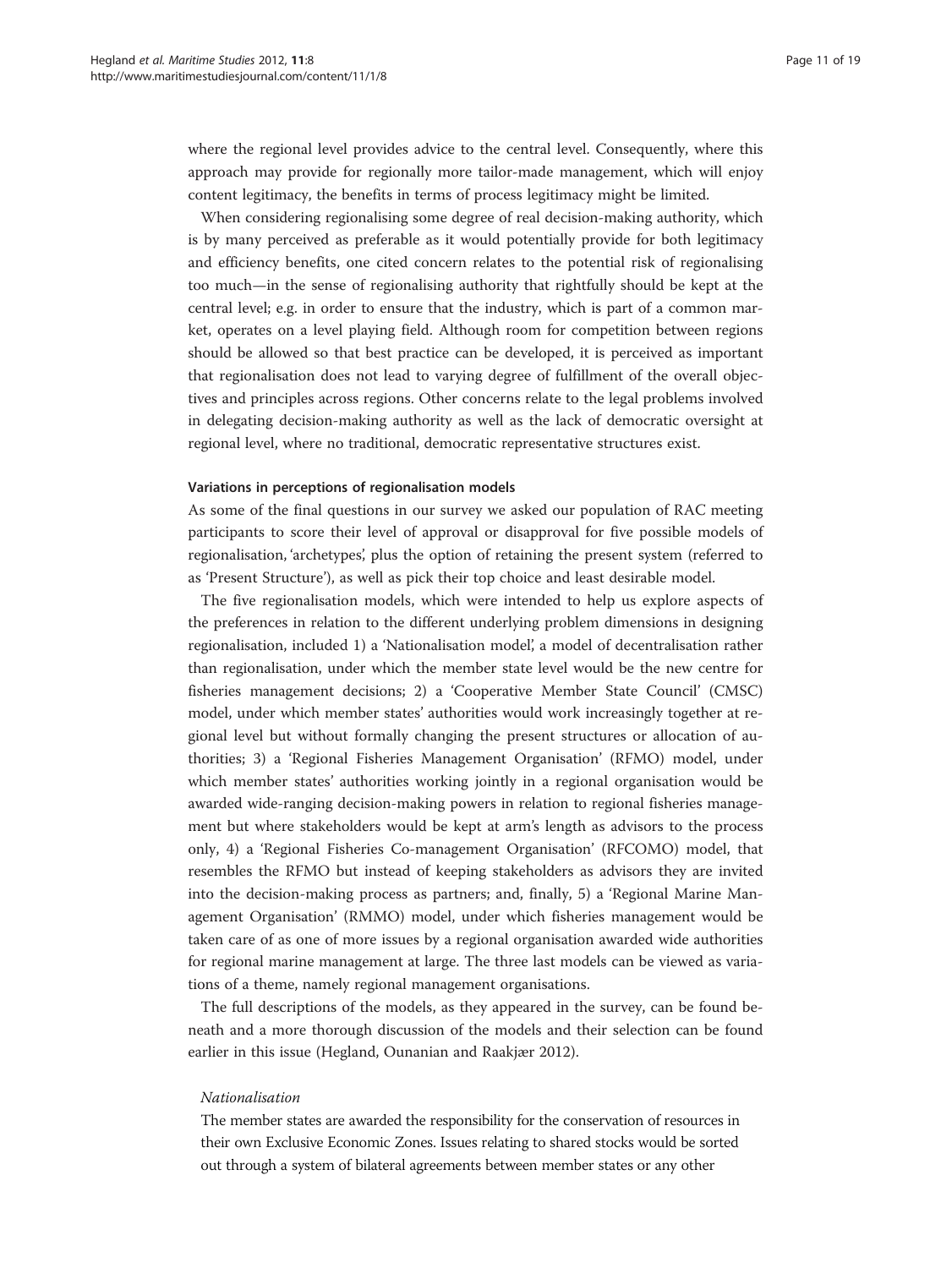where the regional level provides advice to the central level. Consequently, where this approach may provide for regionally more tailor-made management, which will enjoy content legitimacy, the benefits in terms of process legitimacy might be limited.

When considering regionalising some degree of real decision-making authority, which is by many perceived as preferable as it would potentially provide for both legitimacy and efficiency benefits, one cited concern relates to the potential risk of regionalising too much—in the sense of regionalising authority that rightfully should be kept at the central level; e.g. in order to ensure that the industry, which is part of a common market, operates on a level playing field. Although room for competition between regions should be allowed so that best practice can be developed, it is perceived as important that regionalisation does not lead to varying degree of fulfillment of the overall objectives and principles across regions. Other concerns relate to the legal problems involved in delegating decision-making authority as well as the lack of democratic oversight at regional level, where no traditional, democratic representative structures exist.

## Variations in perceptions of regionalisation models

As some of the final questions in our survey we asked our population of RAC meeting participants to score their level of approval or disapproval for five possible models of regionalisation, 'archetypes', plus the option of retaining the present system (referred to as 'Present Structure'), as well as pick their top choice and least desirable model.

The five regionalisation models, which were intended to help us explore aspects of the preferences in relation to the different underlying problem dimensions in designing regionalisation, included 1) a 'Nationalisation model', a model of decentralisation rather than regionalisation, under which the member state level would be the new centre for fisheries management decisions; 2) a 'Cooperative Member State Council' (CMSC) model, under which member states' authorities would work increasingly together at regional level but without formally changing the present structures or allocation of authorities; 3) a 'Regional Fisheries Management Organisation' (RFMO) model, under which member states' authorities working jointly in a regional organisation would be awarded wide-ranging decision-making powers in relation to regional fisheries management but where stakeholders would be kept at arm's length as advisors to the process only, 4) a 'Regional Fisheries Co-management Organisation' (RFCOMO) model, that resembles the RFMO but instead of keeping stakeholders as advisors they are invited into the decision-making process as partners; and, finally, 5) a 'Regional Marine Management Organisation' (RMMO) model, under which fisheries management would be taken care of as one of more issues by a regional organisation awarded wide authorities for regional marine management at large. The three last models can be viewed as variations of a theme, namely regional management organisations.

The full descriptions of the models, as they appeared in the survey, can be found beneath and a more thorough discussion of the models and their selection can be found earlier in this issue (Hegland, Ounanian and Raakjær [2012](#page-19-0)).

The member states are awarded the responsibility for the conservation of resources in their own Exclusive Economic Zones. Issues relating to shared stocks would be sorted out through a system of bilateral agreements between member states or any other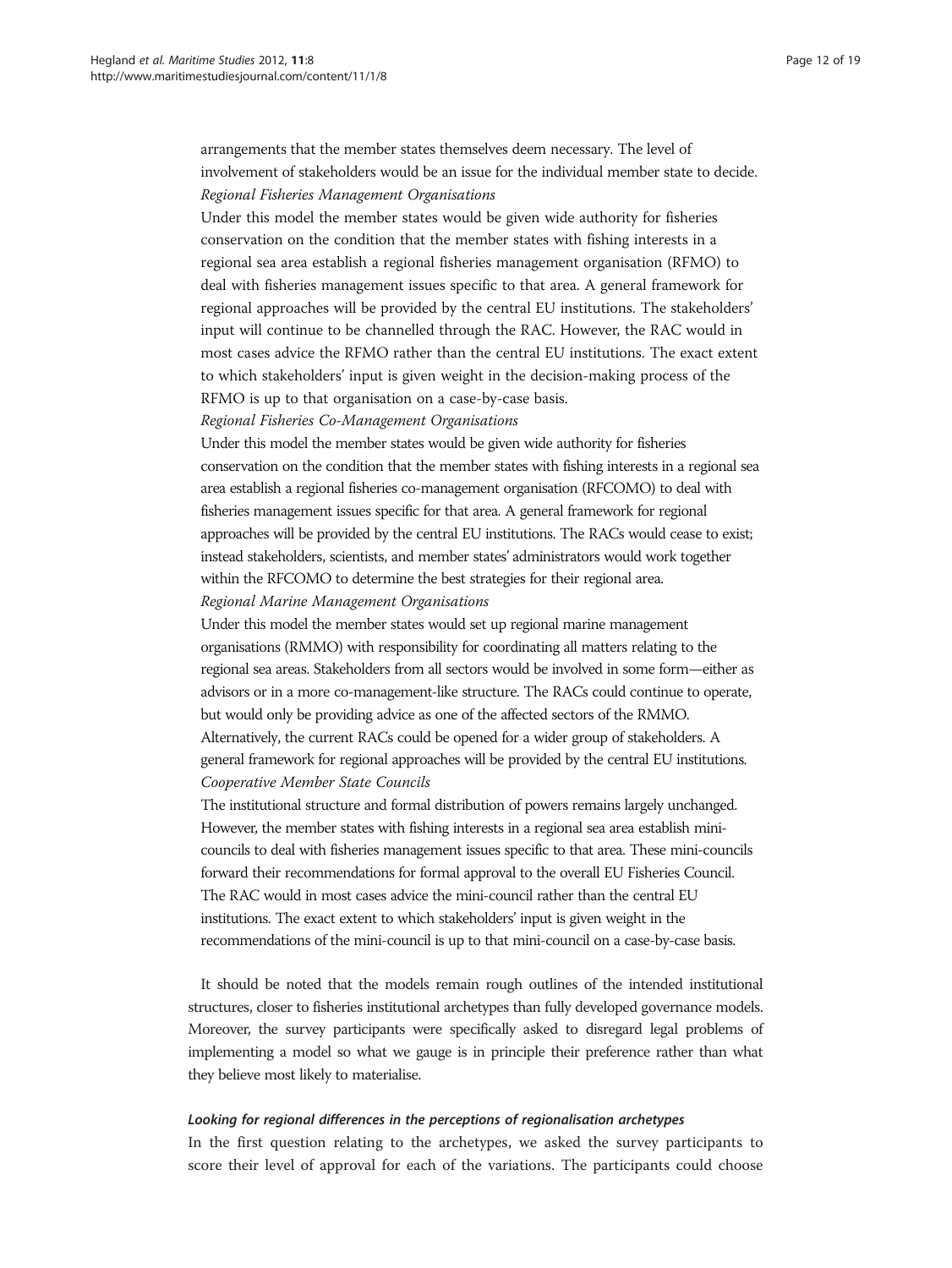arrangements that the member states themselves deem necessary. The level of involvement of stakeholders would be an issue for the individual member state to decide.

Regional Fisheries Management Organisations Under this model the member states would be given wide authority for fisheries conservation on the condition that the member states with fishing interests in a regional sea area establish a regional fisheries management organisation (RFMO) to deal with fisheries management issues specific to that area. A general framework for regional approaches will be provided by the central EU institutions. The stakeholders' input will continue to be channelled through the RAC. However, the RAC would in most cases advice the RFMO rather than the central EU institutions. The exact extent to which stakeholders' input is given weight in the decision-making process of the RFMO is up to that organisation on a case-by-case basis.

Under this model the member states would be given wide authority for fisheries conservation on the condition that the member states with fishing interests in a regional sea area establish a regional fisheries co-management organisation (RFCOMO) to deal with fisheries management issues specific for that area. A general framework for regional approaches will be provided by the central EU institutions. The RACs would cease to exist; instead stakeholders, scientists, and member states' administrators would work together within the RFCOMO to determine the best strategies for their regional area.

Regional Marine Management Organisations Under this model the member states would set up regional marine management organisations (RMMO) with responsibility for coordinating all matters relating to the regional sea areas. Stakeholders from all sectors would be involved in some form—either as advisors or in a more co-management-like structure. The RACs could continue to operate, but would only be providing advice as one of the affected sectors of the RMMO. Alternatively, the current RACs could be opened for a wider group of stakeholders. A general framework for regional approaches will be provided by the central EU institutions.

The institutional structure and formal distribution of powers remains largely unchanged. However, the member states with fishing interests in a regional sea area establish minicouncils to deal with fisheries management issues specific to that area. These mini-councils forward their recommendations for formal approval to the overall EU Fisheries Council. The RAC would in most cases advice the mini-council rather than the central EU institutions. The exact extent to which stakeholders' input is given weight in the recommendations of the mini-council is up to that mini-council on a case-by-case basis.

It should be noted that the models remain rough outlines of the intended institutional structures, closer to fisheries institutional archetypes than fully developed governance models. Moreover, the survey participants were specifically asked to disregard legal problems of implementing a model so what we gauge is in principle their preference rather than what they believe most likely to materialise.

#### Looking for regional differences in the perceptions of regionalisation archetypes

In the first question relating to the archetypes, we asked the survey participants to score their level of approval for each of the variations. The participants could choose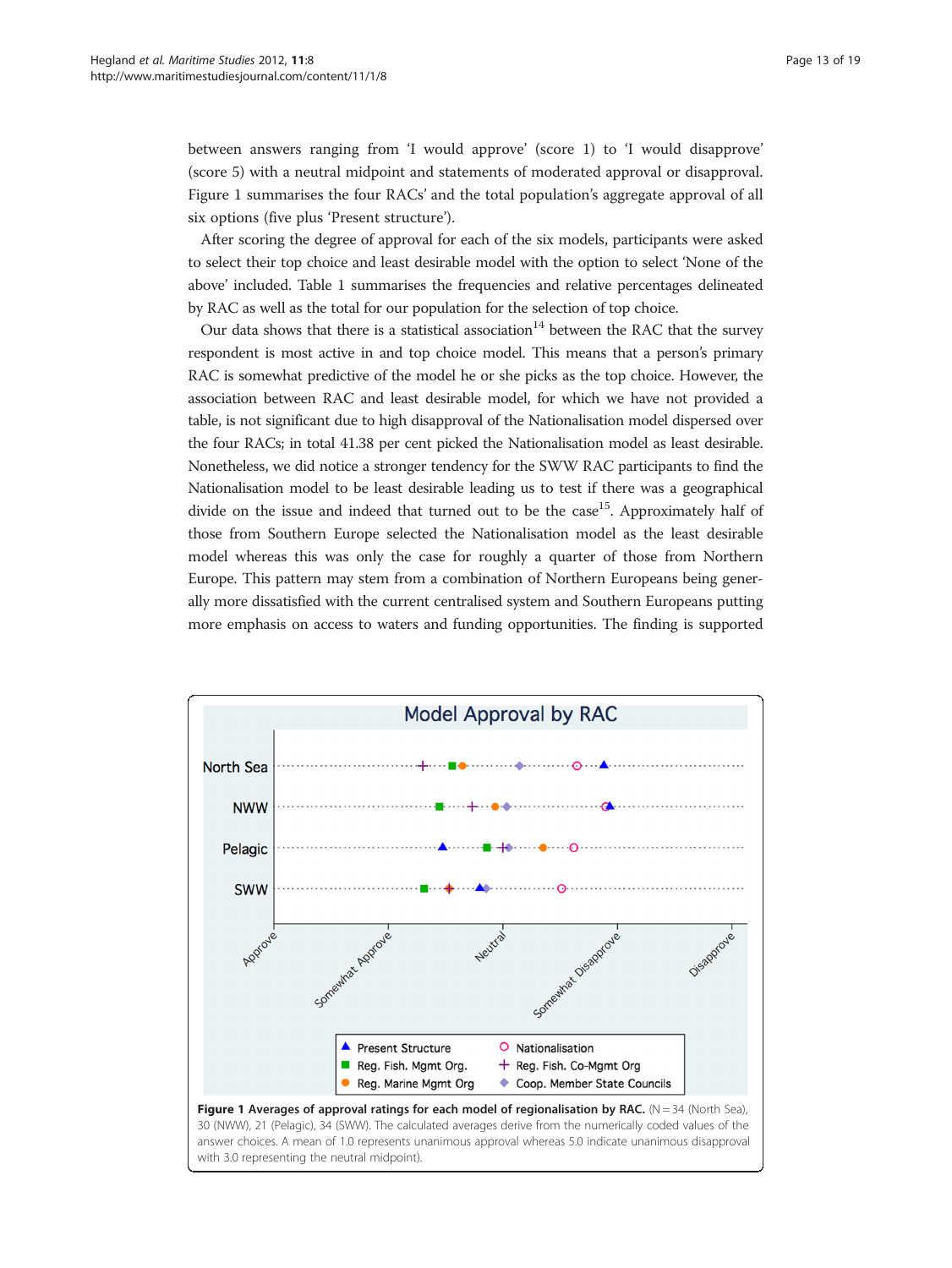<span id="page-13-0"></span>between answers ranging from 'I would approve' (score 1) to 'I would disapprove' (score 5) with a neutral midpoint and statements of moderated approval or disapproval. Figure 1 summarises the four RACs' and the total population's aggregate approval of all six options (five plus 'Present structure').

After scoring the degree of approval for each of the six models, participants were asked to select their top choice and least desirable model with the option to select 'None of the above' included. Table [1](#page-14-0) summarises the frequencies and relative percentages delineated by RAC as well as the total for our population for the selection of top choice.

Our data shows that there is a statistical association<sup>14</sup> between the RAC that the survey respondent is most active in and top choice model. This means that a person's primary RAC is somewhat predictive of the model he or she picks as the top choice. However, the association between RAC and least desirable model, for which we have not provided a table, is not significant due to high disapproval of the Nationalisation model dispersed over the four RACs; in total 41.38 per cent picked the Nationalisation model as least desirable. Nonetheless, we did notice a stronger tendency for the SWW RAC participants to find the Nationalisation model to be least desirable leading us to test if there was a geographical divide on the issue and indeed that turned out to be the case<sup>15</sup>. Approximately half of those from Southern Europe selected the Nationalisation model as the least desirable model whereas this was only the case for roughly a quarter of those from Northern Europe. This pattern may stem from a combination of Northern Europeans being generally more dissatisfied with the current centralised system and Southern Europeans putting more emphasis on access to waters and funding opportunities. The finding is supported

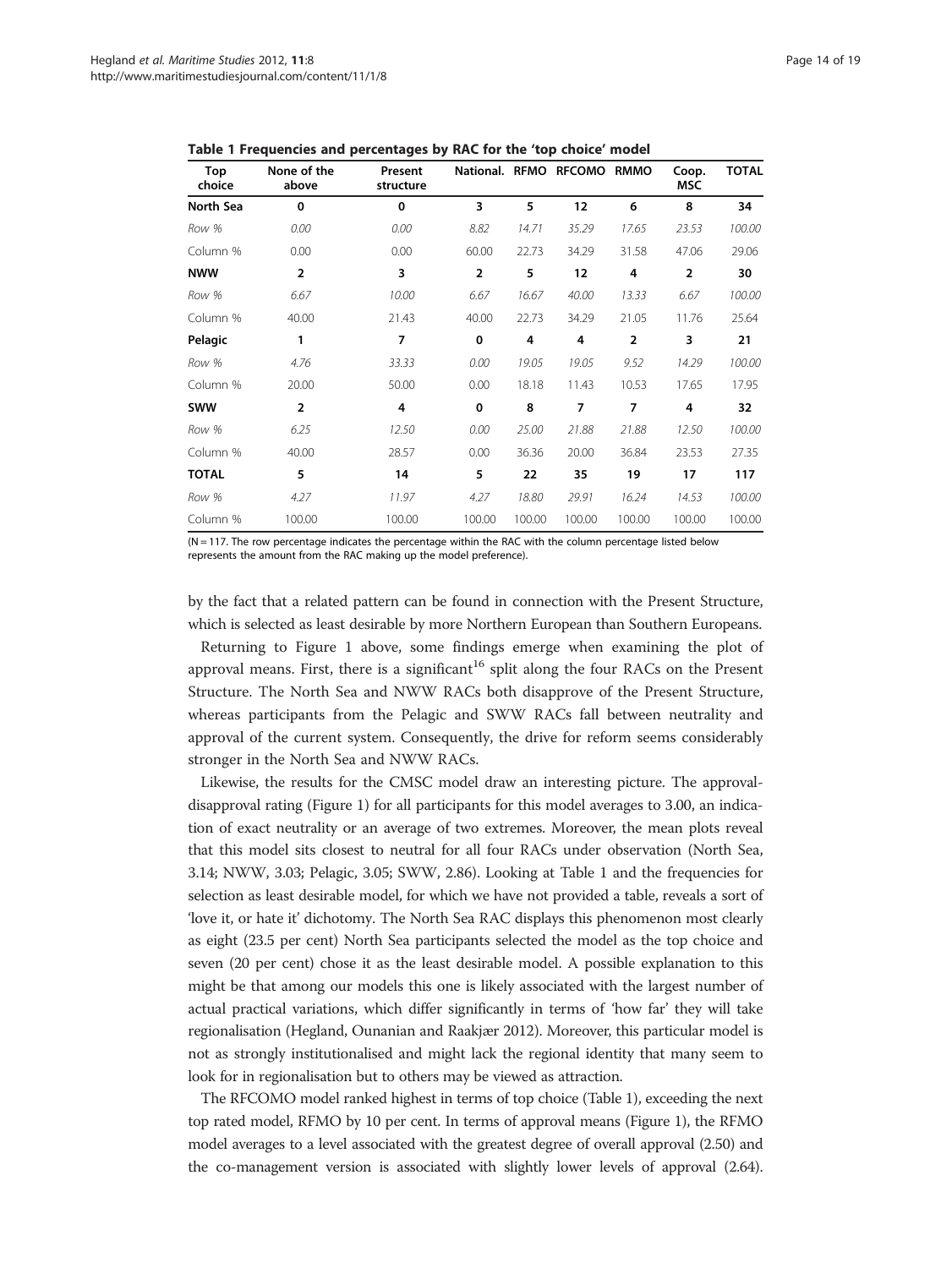| Top<br>choice | None of the<br>above | Present<br>structure |                |        | National. RFMO RFCOMO RMMO |                | Coop.<br>MSC   | <b>TOTAL</b> |
|---------------|----------------------|----------------------|----------------|--------|----------------------------|----------------|----------------|--------------|
| North Sea     | $\mathbf 0$          | $\mathbf 0$          | 3              | 5      | 12                         | 6              | 8              | 34           |
| Row %         | 0.00                 | 0.00                 | 8.82           | 14.71  | 35.29                      | 17.65          | 23.53          | 100.00       |
| Column %      | 0.00                 | 0.00                 | 60.00          | 22.73  | 34.29                      | 31.58          | 47.06          | 29.06        |
| <b>NWW</b>    | $\overline{2}$       | 3                    | $\overline{2}$ | 5      | 12                         | 4              | $\overline{2}$ | 30           |
| Row %         | 6.67                 | 10.00                | 6.67           | 16.67  | 40.00                      | 13.33          | 6.67           | 100.00       |
| Column %      | 40.00                | 21.43                | 40.00          | 22.73  | 34.29                      | 21.05          | 11.76          | 25.64        |
| Pelagic       | 1                    | 7                    | $\mathbf 0$    | 4      | 4                          | $\overline{2}$ | 3              | 21           |
| Row %         | 4.76                 | 33.33                | 0.00           | 19.05  | 19.05                      | 9.52           | 14.29          | 100.00       |
| Column %      | 20.00                | 50.00                | 0.00           | 18.18  | 11.43                      | 10.53          | 17.65          | 17.95        |
| <b>SWW</b>    | $\overline{2}$       | 4                    | $\mathbf 0$    | 8      | $\overline{ }$             | $\overline{7}$ | 4              | 32           |
| Row %         | 6.25                 | 12.50                | 0.00           | 25.00  | 21.88                      | 21.88          | 12.50          | 100.00       |
| Column %      | 40.00                | 28.57                | 0.00           | 36.36  | 20.00                      | 36.84          | 23.53          | 27.35        |
| <b>TOTAL</b>  | 5                    | 14                   | 5              | 22     | 35                         | 19             | 17             | 117          |
| Row %         | 4.27                 | 11.97                | 4.27           | 18.80  | 29.91                      | 16.24          | 14.53          | 100.00       |
| Column %      | 100.00               | 100.00               | 100.00         | 100.00 | 100.00                     | 100.00         | 100.00         | 100.00       |

<span id="page-14-0"></span>Table 1 Frequencies and percentages by RAC for the 'top choice' model

(N = 117. The row percentage indicates the percentage within the RAC with the column percentage listed below represents the amount from the RAC making up the model preference).

by the fact that a related pattern can be found in connection with the Present Structure, which is selected as least desirable by more Northern European than Southern Europeans.

Returning to Figure [1](#page-13-0) above, some findings emerge when examining the plot of approval means. First, there is a significant<sup>16</sup> split along the four RACs on the Present Structure. The North Sea and NWW RACs both disapprove of the Present Structure, whereas participants from the Pelagic and SWW RACs fall between neutrality and approval of the current system. Consequently, the drive for reform seems considerably stronger in the North Sea and NWW RACs.

Likewise, the results for the CMSC model draw an interesting picture. The approvaldisapproval rating (Figure [1](#page-13-0)) for all participants for this model averages to 3.00, an indication of exact neutrality or an average of two extremes. Moreover, the mean plots reveal that this model sits closest to neutral for all four RACs under observation (North Sea, 3.14; NWW, 3.03; Pelagic, 3.05; SWW, 2.86). Looking at Table 1 and the frequencies for selection as least desirable model, for which we have not provided a table, reveals a sort of 'love it, or hate it' dichotomy. The North Sea RAC displays this phenomenon most clearly as eight (23.5 per cent) North Sea participants selected the model as the top choice and seven (20 per cent) chose it as the least desirable model. A possible explanation to this might be that among our models this one is likely associated with the largest number of actual practical variations, which differ significantly in terms of 'how far' they will take regionalisation (Hegland, Ounanian and Raakjær [2012](#page-19-0)). Moreover, this particular model is not as strongly institutionalised and might lack the regional identity that many seem to look for in regionalisation but to others may be viewed as attraction.

The RFCOMO model ranked highest in terms of top choice (Table 1), exceeding the next top rated model, RFMO by 10 per cent. In terms of approval means (Figure [1\)](#page-13-0), the RFMO model averages to a level associated with the greatest degree of overall approval (2.50) and the co-management version is associated with slightly lower levels of approval (2.64).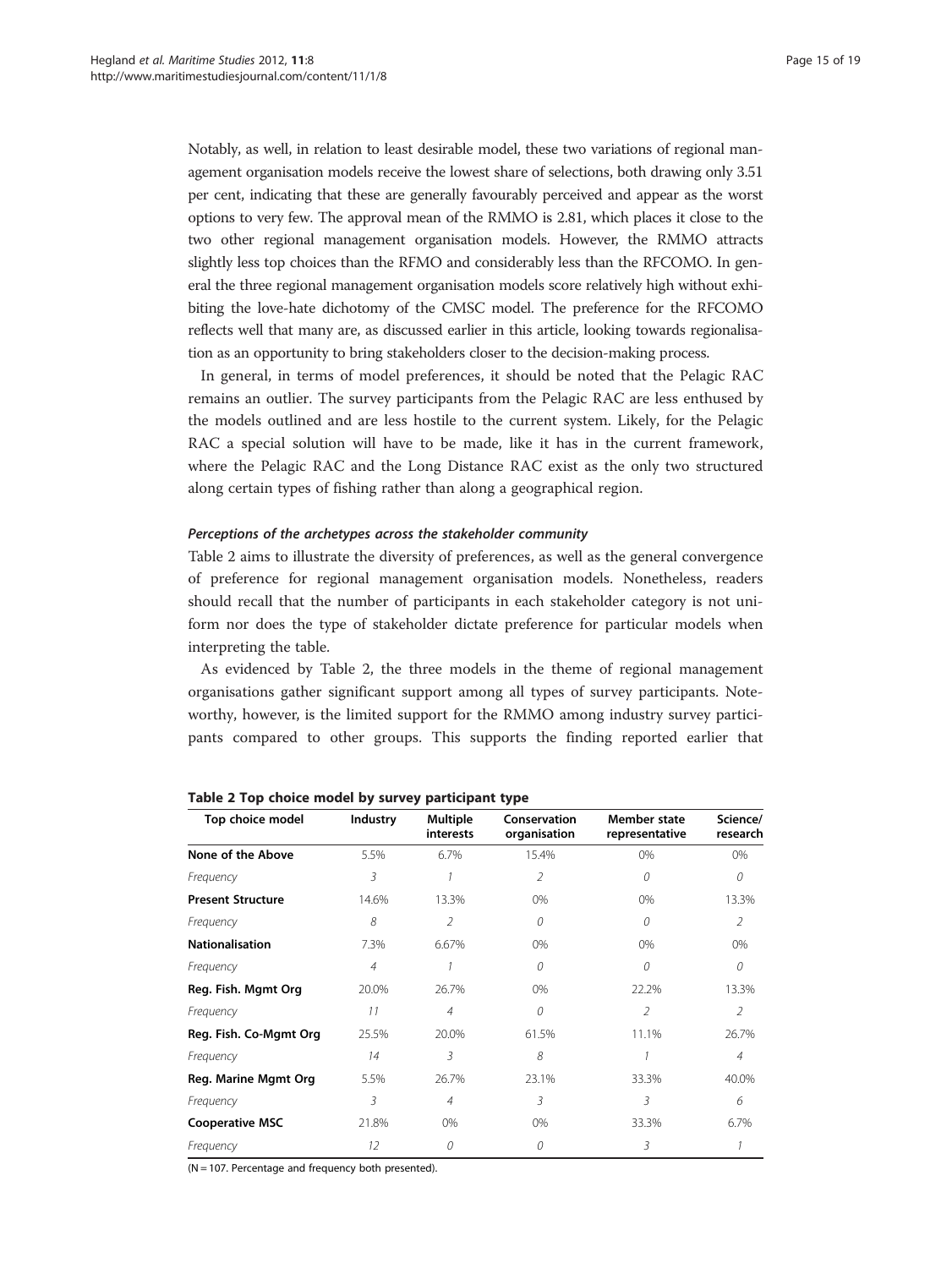Notably, as well, in relation to least desirable model, these two variations of regional management organisation models receive the lowest share of selections, both drawing only 3.51 per cent, indicating that these are generally favourably perceived and appear as the worst options to very few. The approval mean of the RMMO is 2.81, which places it close to the two other regional management organisation models. However, the RMMO attracts slightly less top choices than the RFMO and considerably less than the RFCOMO. In general the three regional management organisation models score relatively high without exhibiting the love-hate dichotomy of the CMSC model. The preference for the RFCOMO reflects well that many are, as discussed earlier in this article, looking towards regionalisation as an opportunity to bring stakeholders closer to the decision-making process.

In general, in terms of model preferences, it should be noted that the Pelagic RAC remains an outlier. The survey participants from the Pelagic RAC are less enthused by the models outlined and are less hostile to the current system. Likely, for the Pelagic RAC a special solution will have to be made, like it has in the current framework, where the Pelagic RAC and the Long Distance RAC exist as the only two structured along certain types of fishing rather than along a geographical region.

#### Perceptions of the archetypes across the stakeholder community

Table 2 aims to illustrate the diversity of preferences, as well as the general convergence of preference for regional management organisation models. Nonetheless, readers should recall that the number of participants in each stakeholder category is not uniform nor does the type of stakeholder dictate preference for particular models when interpreting the table.

As evidenced by Table 2, the three models in the theme of regional management organisations gather significant support among all types of survey participants. Noteworthy, however, is the limited support for the RMMO among industry survey participants compared to other groups. This supports the finding reported earlier that

| Top choice model         | Industry       | <b>Multiple</b><br>interests | Conservation<br>organisation | Member state<br>representative | Science/<br>research |
|--------------------------|----------------|------------------------------|------------------------------|--------------------------------|----------------------|
| None of the Above        | 5.5%           | 6.7%                         | 15.4%                        | 0%                             | 0%                   |
| Frequency                | 3              |                              | 2                            | $\Omega$                       | $\Omega$             |
| <b>Present Structure</b> | 14.6%          | 13.3%                        | 0%                           | 0%                             | 13.3%                |
| Frequency                | 8              | 2                            | 0                            | $\Omega$                       | 2                    |
| <b>Nationalisation</b>   | 7.3%           | 6.67%                        | 0%                           | 0%                             | 0%                   |
| Frequency                | $\overline{4}$ |                              | 0                            | $\Omega$                       | $\Omega$             |
| Reg. Fish. Mgmt Org      | 20.0%          | 26.7%                        | 0%                           | 22.2%                          | 13.3%                |
| Frequency                | 11             | $\overline{4}$               | $\Omega$                     | 2                              | 2                    |
| Reg. Fish. Co-Mgmt Org   | 25.5%          | 20.0%                        | 61.5%                        | 11.1%                          | 26.7%                |
| Frequency                | 14             | 3                            | 8                            |                                | 4                    |
| Reg. Marine Mgmt Org     | 5.5%           | 26.7%                        | 23.1%                        | 33.3%                          | 40.0%                |
| Frequency                | 3              | $\overline{4}$               | 3                            | 3                              | 6                    |
| <b>Cooperative MSC</b>   | 21.8%          | 0%                           | 0%                           | 33.3%                          | 6.7%                 |
| Frequency                | 12             | 0                            | 0                            | 3                              |                      |

|  |  |  |  | Table 2 Top choice model by survey participant type |  |
|--|--|--|--|-----------------------------------------------------|--|
|--|--|--|--|-----------------------------------------------------|--|

 $(N = 107$ . Percentage and frequency both presented).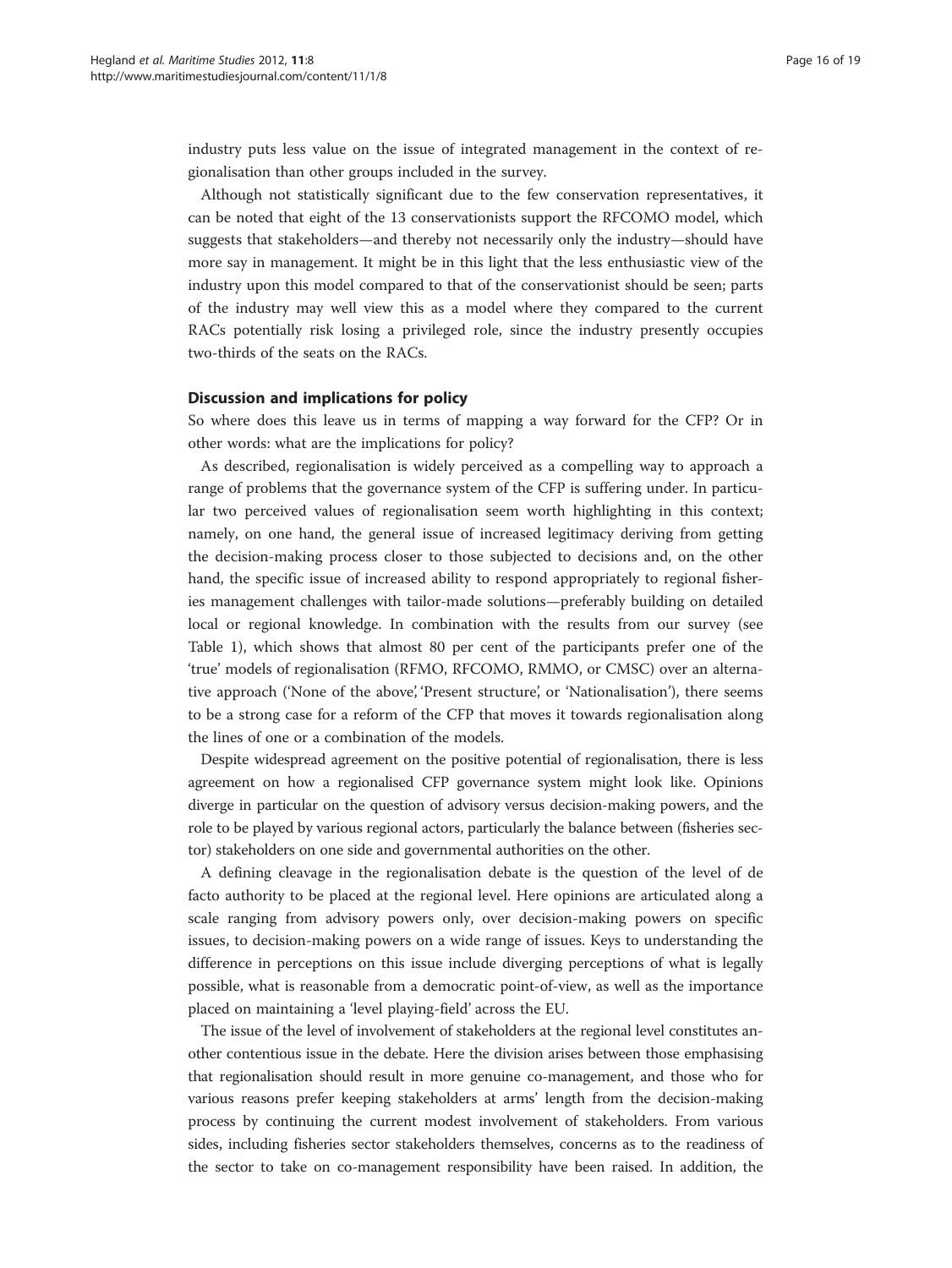industry puts less value on the issue of integrated management in the context of regionalisation than other groups included in the survey.

Although not statistically significant due to the few conservation representatives, it can be noted that eight of the 13 conservationists support the RFCOMO model, which suggests that stakeholders—and thereby not necessarily only the industry—should have more say in management. It might be in this light that the less enthusiastic view of the industry upon this model compared to that of the conservationist should be seen; parts of the industry may well view this as a model where they compared to the current RACs potentially risk losing a privileged role, since the industry presently occupies two-thirds of the seats on the RACs.

#### Discussion and implications for policy

So where does this leave us in terms of mapping a way forward for the CFP? Or in other words: what are the implications for policy?

As described, regionalisation is widely perceived as a compelling way to approach a range of problems that the governance system of the CFP is suffering under. In particular two perceived values of regionalisation seem worth highlighting in this context; namely, on one hand, the general issue of increased legitimacy deriving from getting the decision-making process closer to those subjected to decisions and, on the other hand, the specific issue of increased ability to respond appropriately to regional fisheries management challenges with tailor-made solutions—preferably building on detailed local or regional knowledge. In combination with the results from our survey (see Table [1](#page-14-0)), which shows that almost 80 per cent of the participants prefer one of the 'true' models of regionalisation (RFMO, RFCOMO, RMMO, or CMSC) over an alternative approach ('None of the above', 'Present structure', or 'Nationalisation'), there seems to be a strong case for a reform of the CFP that moves it towards regionalisation along the lines of one or a combination of the models.

Despite widespread agreement on the positive potential of regionalisation, there is less agreement on how a regionalised CFP governance system might look like. Opinions diverge in particular on the question of advisory versus decision-making powers, and the role to be played by various regional actors, particularly the balance between (fisheries sector) stakeholders on one side and governmental authorities on the other.

A defining cleavage in the regionalisation debate is the question of the level of de facto authority to be placed at the regional level. Here opinions are articulated along a scale ranging from advisory powers only, over decision-making powers on specific issues, to decision-making powers on a wide range of issues. Keys to understanding the difference in perceptions on this issue include diverging perceptions of what is legally possible, what is reasonable from a democratic point-of-view, as well as the importance placed on maintaining a 'level playing-field' across the EU.

The issue of the level of involvement of stakeholders at the regional level constitutes another contentious issue in the debate. Here the division arises between those emphasising that regionalisation should result in more genuine co-management, and those who for various reasons prefer keeping stakeholders at arms' length from the decision-making process by continuing the current modest involvement of stakeholders. From various sides, including fisheries sector stakeholders themselves, concerns as to the readiness of the sector to take on co-management responsibility have been raised. In addition, the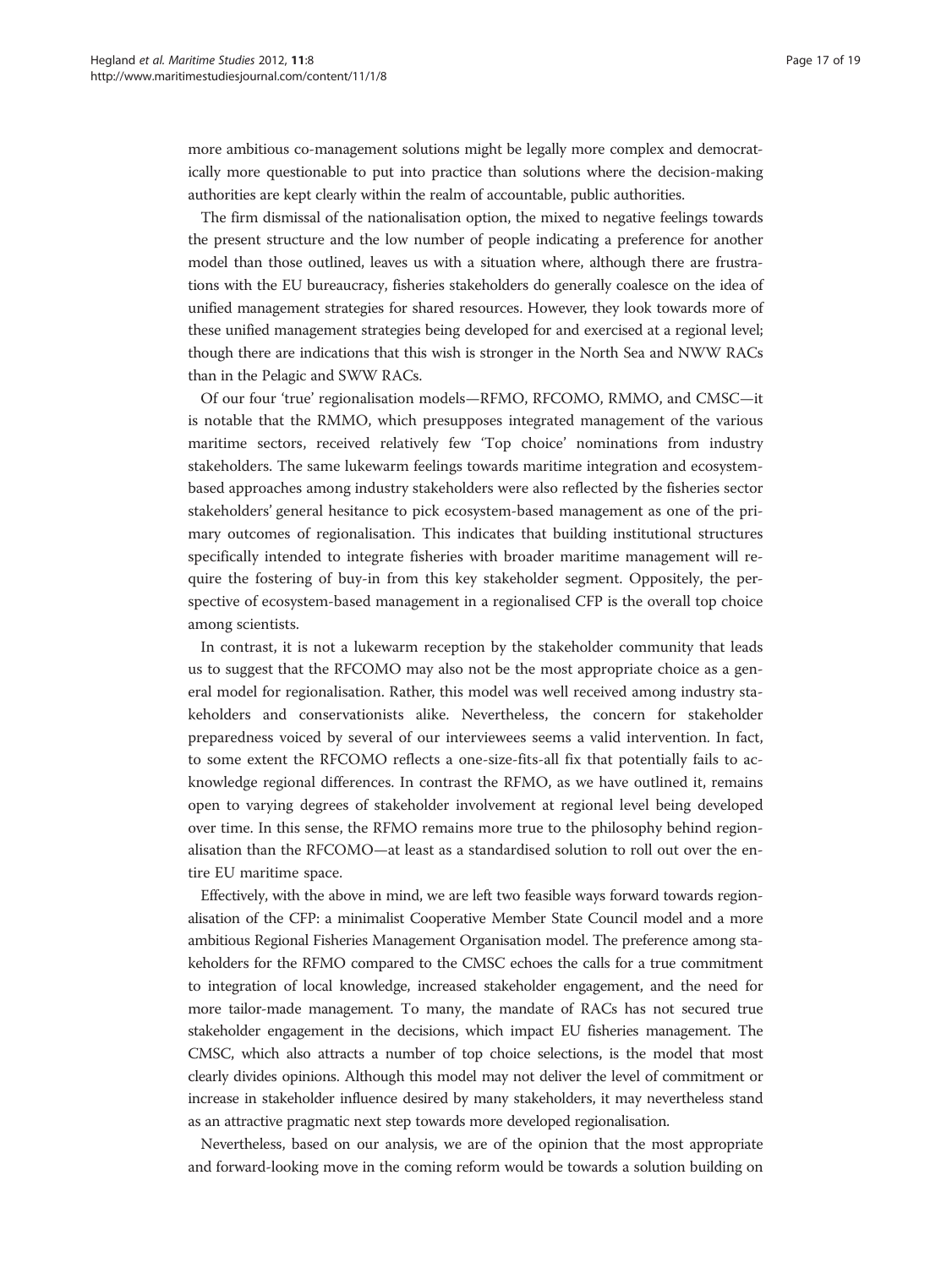more ambitious co-management solutions might be legally more complex and democratically more questionable to put into practice than solutions where the decision-making authorities are kept clearly within the realm of accountable, public authorities.

The firm dismissal of the nationalisation option, the mixed to negative feelings towards the present structure and the low number of people indicating a preference for another model than those outlined, leaves us with a situation where, although there are frustrations with the EU bureaucracy, fisheries stakeholders do generally coalesce on the idea of unified management strategies for shared resources. However, they look towards more of these unified management strategies being developed for and exercised at a regional level; though there are indications that this wish is stronger in the North Sea and NWW RACs than in the Pelagic and SWW RACs.

Of our four 'true' regionalisation models—RFMO, RFCOMO, RMMO, and CMSC—it is notable that the RMMO, which presupposes integrated management of the various maritime sectors, received relatively few 'Top choice' nominations from industry stakeholders. The same lukewarm feelings towards maritime integration and ecosystembased approaches among industry stakeholders were also reflected by the fisheries sector stakeholders' general hesitance to pick ecosystem-based management as one of the primary outcomes of regionalisation. This indicates that building institutional structures specifically intended to integrate fisheries with broader maritime management will require the fostering of buy-in from this key stakeholder segment. Oppositely, the perspective of ecosystem-based management in a regionalised CFP is the overall top choice among scientists.

In contrast, it is not a lukewarm reception by the stakeholder community that leads us to suggest that the RFCOMO may also not be the most appropriate choice as a general model for regionalisation. Rather, this model was well received among industry stakeholders and conservationists alike. Nevertheless, the concern for stakeholder preparedness voiced by several of our interviewees seems a valid intervention. In fact, to some extent the RFCOMO reflects a one-size-fits-all fix that potentially fails to acknowledge regional differences. In contrast the RFMO, as we have outlined it, remains open to varying degrees of stakeholder involvement at regional level being developed over time. In this sense, the RFMO remains more true to the philosophy behind regionalisation than the RFCOMO—at least as a standardised solution to roll out over the entire EU maritime space.

Effectively, with the above in mind, we are left two feasible ways forward towards regionalisation of the CFP: a minimalist Cooperative Member State Council model and a more ambitious Regional Fisheries Management Organisation model. The preference among stakeholders for the RFMO compared to the CMSC echoes the calls for a true commitment to integration of local knowledge, increased stakeholder engagement, and the need for more tailor-made management. To many, the mandate of RACs has not secured true stakeholder engagement in the decisions, which impact EU fisheries management. The CMSC, which also attracts a number of top choice selections, is the model that most clearly divides opinions. Although this model may not deliver the level of commitment or increase in stakeholder influence desired by many stakeholders, it may nevertheless stand as an attractive pragmatic next step towards more developed regionalisation.

Nevertheless, based on our analysis, we are of the opinion that the most appropriate and forward-looking move in the coming reform would be towards a solution building on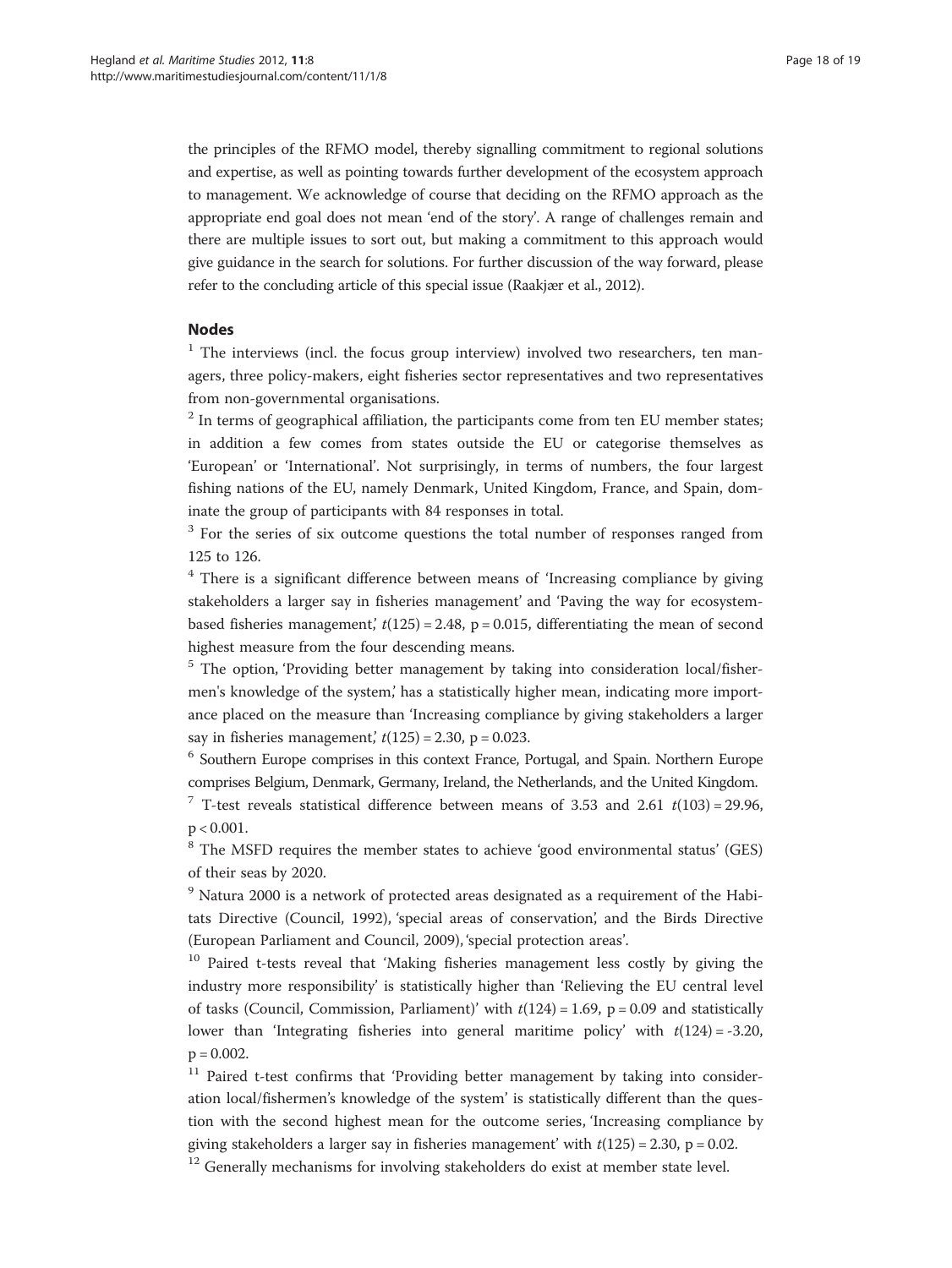the principles of the RFMO model, thereby signalling commitment to regional solutions and expertise, as well as pointing towards further development of the ecosystem approach to management. We acknowledge of course that deciding on the RFMO approach as the appropriate end goal does not mean 'end of the story'. A range of challenges remain and there are multiple issues to sort out, but making a commitment to this approach would give guidance in the search for solutions. For further discussion of the way forward, please refer to the concluding article of this special issue (Raakjær et al., [2012](#page-19-0)).

#### Nodes

 $1$  The interviews (incl. the focus group interview) involved two researchers, ten managers, three policy-makers, eight fisheries sector representatives and two representatives from non-governmental organisations.

 $2$  In terms of geographical affiliation, the participants come from ten EU member states; in addition a few comes from states outside the EU or categorise themselves as 'European' or 'International'. Not surprisingly, in terms of numbers, the four largest fishing nations of the EU, namely Denmark, United Kingdom, France, and Spain, dominate the group of participants with 84 responses in total.

<sup>3</sup> For the series of six outcome questions the total number of responses ranged from 125 to 126.

<sup>4</sup> There is a significant difference between means of 'Increasing compliance by giving stakeholders a larger say in fisheries management' and 'Paving the way for ecosystembased fisheries management,'  $t(125) = 2.48$ ,  $p = 0.015$ , differentiating the mean of second highest measure from the four descending means.

<sup>5</sup> The option, 'Providing better management by taking into consideration local/fishermen's knowledge of the system,' has a statistically higher mean, indicating more importance placed on the measure than 'Increasing compliance by giving stakeholders a larger say in fisheries management,'  $t(125) = 2.30$ , p = 0.023.

<sup>6</sup> Southern Europe comprises in this context France, Portugal, and Spain. Northern Europe comprises Belgium, Denmark, Germany, Ireland, the Netherlands, and the United Kingdom. <sup>7</sup> T-test reveals statistical difference between means of 3.53 and 2.61  $t(103) = 29.96$ ,  $p < 0.001$ .

<sup>8</sup> The MSFD requires the member states to achieve 'good environmental status' (GES) of their seas by 2020.

<sup>9</sup> Natura 2000 is a network of protected areas designated as a requirement of the Habitats Directive (Council, [1992\)](#page-19-0), 'special areas of conservation', and the Birds Directive (European Parliament and Council, [2009\)](#page-19-0), 'special protection areas'.

<sup>10</sup> Paired t-tests reveal that 'Making fisheries management less costly by giving the industry more responsibility' is statistically higher than 'Relieving the EU central level of tasks (Council, Commission, Parliament)' with  $t(124) = 1.69$ , p = 0.09 and statistically lower than 'Integrating fisheries into general maritime policy' with  $t(124) = -3.20$ ,  $p = 0.002$ .

<sup>11</sup> Paired t-test confirms that 'Providing better management by taking into consideration local/fishermen's knowledge of the system' is statistically different than the question with the second highest mean for the outcome series, 'Increasing compliance by giving stakeholders a larger say in fisheries management' with  $t(125) = 2.30$ , p = 0.02.

<sup>12</sup> Generally mechanisms for involving stakeholders do exist at member state level.